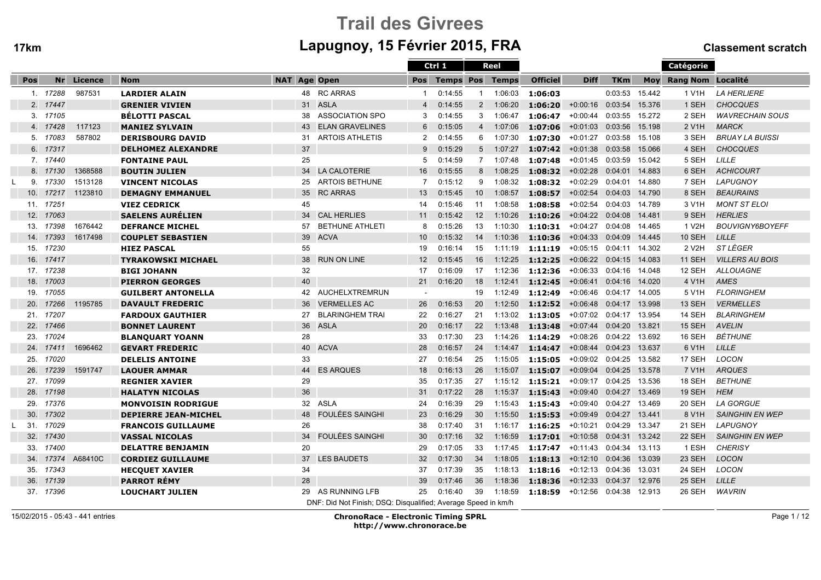# Trail des Givreesm Lapugnoy, 15 Février 2015, FRA Classement scratch

|                 |           |         |                             |                     |                                                               |                | Ctrl 1        |                | Reel    |                 |                           |                |        | <b>Catégorie</b>      |                        |
|-----------------|-----------|---------|-----------------------------|---------------------|---------------------------------------------------------------|----------------|---------------|----------------|---------|-----------------|---------------------------|----------------|--------|-----------------------|------------------------|
| Pos             | Nr        | Licence | <b>Nom</b>                  | <b>NAT Age Open</b> |                                                               |                | Pos Temps Pos |                | Temps   | <b>Officiel</b> | <b>Diff</b>               | <b>TKm</b>     |        | Moy Rang Nom Localité |                        |
|                 | 1. 17288  | 987531  | <b>LARDIER ALAIN</b>        |                     | 48 RC ARRAS                                                   | 1              | 0:14:55       | -1             | 1:06:03 | 1:06:03         |                           | 0:03:53        | 15.442 | 1 V1H                 | <b>LA HERLIERE</b>     |
|                 | 2. 17447  |         | <b>GRENIER VIVIEN</b>       |                     | 31 ASLA                                                       | $\overline{4}$ | 0:14:55       | 2              | 1:06:20 | 1:06:20         | $+0:00:16$                | 0:03:54        | 15.376 | 1 SEH                 | <b>CHOCQUES</b>        |
|                 | 3. 17105  |         | <b>BELOTTI PASCAL</b>       | 38                  | <b>ASSOCIATION SPO</b>                                        | 3              | 0:14:55       | 3              | 1:06:47 | 1:06:47         | $+0:00:44$                | 0:03:55 15.272 |        | 2 SEH                 | <b>WAVRECHAIN SOUS</b> |
| 4.              | 17428     | 117123  | <b>MANIEZ SYLVAIN</b>       | 43                  | <b>ELAN GRAVELINES</b>                                        | 6              | 0:15:05       | $\overline{4}$ | 1:07:06 | 1:07:06         | $+0:01:03$                | 0:03:56        | 15.198 | 2 V <sub>1</sub> H    | <b>MARCK</b>           |
| 5.              | 17083     | 587802  | <b>DERISBOURG DAVID</b>     | 31                  | <b>ARTOIS ATHLETIS</b>                                        | 2              | 0:14:55       | 6              | 1:07:30 | 1:07:30         | $+0:01:27$                | 0:03:58 15.108 |        | 3 SEH                 | <b>BRUAY LA BUISSI</b> |
| 6.              | 17317     |         | <b>DELHOMEZ ALEXANDRE</b>   | 37                  |                                                               | 9              | 0:15:29       | 5              | 1:07:27 | 1:07:42         | $+0:01:38$                | 0:03:58        | 15.066 | 4 SEH                 | <b>CHOCQUES</b>        |
|                 | 7. 17440  |         | <b>FONTAINE PAUL</b>        | 25                  |                                                               | 5              | 0:14:59       | $\overline{7}$ | 1:07:48 | 1:07:48         | $+0:01:45$                | 0:03:59        | 15.042 | 5 SEH                 | LILLE                  |
|                 | 8. 17130  | 1368588 | <b>BOUTIN JULIEN</b>        |                     | 34 LA CALOTERIE                                               | 16             | 0:15:55       | 8              | 1:08:25 | 1:08:32         | $+0:02:28$                | 0:04:01        | 14.883 | 6 SEH                 | <b>ACHICOURT</b>       |
| 9.              | 17330     | 1513128 | <b>VINCENT NICOLAS</b>      | 25                  | <b>ARTOIS BETHUNE</b>                                         | 7              | 0:15:12       | 9              | 1:08:32 | 1:08:32         | $+0:02:29$                | 0:04:01 14.880 |        | 7 SEH                 | <b>LAPUGNOY</b>        |
| 10.             | 17217     | 1123810 | <b>DEMAGNY EMMANUEL</b>     | 35                  | <b>RC ARRAS</b>                                               | 13             | 0:15:45       | 10             | 1:08:57 | 1:08:57         | $+0:02:54$                | 0:04:03        | 14.790 | 8 SEH                 | <b>BEAURAINS</b>       |
| 11.             | 17251     |         | <b>VIEZ CEDRICK</b>         | 45                  |                                                               | 14             | 0:15:46       | 11             | 1:08:58 | 1:08:58         | $+0:02:54$                | 0:04:03 14.789 |        | 3 V <sub>1</sub> H    | <b>MONT ST ELOI</b>    |
| 12.             | 17063     |         | <b>SAELENS AURÉLIEN</b>     | 34                  | <b>CAL HERLIES</b>                                            | 11             | 0:15:42       | 12             | 1:10:26 | 1:10:26         | $+0:04:22$                | 0:04:08        | 14.481 | 9 SEH                 | <b>HERLIES</b>         |
| 13.             | 17398     | 1676442 | <b>DEFRANCE MICHEL</b>      | 57                  | <b>BETHUNE ATHLETI</b>                                        | 8              | 0:15:26       | 13             | 1:10:30 | 1:10:31         | $+0:04:27$                | 0:04:08        | 14.465 | 1 V <sub>2</sub> H    | <b>BOUVIGNY6BOYEFF</b> |
| 14.             | 17393     | 1617498 | <b>COUPLET SEBASTIEN</b>    | 39                  | <b>ACVA</b>                                                   | 10             | 0:15:32       | 14             | 1:10:36 | 1:10:36         | $+0:04:33$                | 0:04:09        | 14.445 | <b>10 SEH</b>         | <b>LILLE</b>           |
| 15.             | 17230     |         | <b>HIEZ PASCAL</b>          | 55                  |                                                               | 19             | 0:16:14       | 15             | 1:11:19 | 1:11:19         | +0:05:15  0:04:11  14.302 |                |        | 2 V <sub>2</sub> H    | <i>ST LÉGER</i>        |
| 16.             | 17417     |         | <b>TYRAKOWSKI MICHAEL</b>   | 38                  | <b>RUN ON LINE</b>                                            | 12             | 0:15:45       | 16             | 1:12:25 | 1:12:25         | $+0:06:22$                | 0:04:15 14.083 |        | <b>11 SEH</b>         | <b>VILLERS AU BOIS</b> |
| 17 <sub>1</sub> | 17238     |         | <b>BIGI JOHANN</b>          | 32                  |                                                               | 17             | 0:16:09       | 17             | 1:12:36 | 1:12:36         | $+0:06:33$                | 0:04:16 14.048 |        | 12 SEH                | <b>ALLOUAGNE</b>       |
| 18.             | 17003     |         | <b>PIERRON GEORGES</b>      | 40                  |                                                               | 21             | 0:16:20       | 18             | 1:12:41 | 1:12:45         | $+0:06:41$                | 0:04:16 14.020 |        | 4 V1H                 | <b>AMES</b>            |
| 19.             | 17055     |         | <b>GUILBERT ANTONELLA</b>   | 42                  | AUCHELXTREMRUN                                                | $\sim$         |               | 19             | 1:12:49 | 1:12:49         | $+0.06:46$                | 0:04:17 14.005 |        | 5 V1H                 | <b>FLORINGHEM</b>      |
| 20.             | 17266     | 1195785 | <b>DAVAULT FREDERIC</b>     | 36                  | <b>VERMELLES AC</b>                                           | 26             | 0:16:53       | 20             | 1:12:50 | 1:12:52         | $+0:06:48$                | 0:04:17        | 13.998 | 13 SEH                | <b>VERMELLES</b>       |
| 21.             | 17207     |         | <b>FARDOUX GAUTHIER</b>     | 27                  | <b>BLARINGHEM TRAI</b>                                        | 22             | 0:16:27       | 21             | 1:13:02 | 1:13:05         | +0:07:02                  | 0:04:17 13.954 |        | 14 SEH                | <b>BLARINGHEM</b>      |
| 22.             | 17466     |         | <b>BONNET LAURENT</b>       | 36                  | <b>ASLA</b>                                                   | 20             | 0:16:17       | 22             | 1:13:48 | 1:13:48         | $+0:07:44$                | 0:04:20        | 13.821 | 15 SEH                | <b>AVELIN</b>          |
| 23.             | 17024     |         | <b>BLANQUART YOANN</b>      | 28                  |                                                               | 33             | 0:17:30       | 23             | 1:14:26 | 1:14:29         | $+0:08:26$                | 0:04:22 13.692 |        | 16 SEH                | <b>BÉTHUNE</b>         |
| 24.             | 17411     | 1696462 | <b>GEVART FREDERIC</b>      | 40                  | <b>ACVA</b>                                                   | 28             | 0:16:57       | 24             | 1:14:47 | 1:14:47         | +0:08:44 0:04:23 13.637   |                |        | 6 V1H                 | <b>LILLE</b>           |
| 25.             | 17020     |         | <b>DELELIS ANTOINE</b>      | 33                  |                                                               | 27             | 0:16:54       | 25             | 1:15:05 | 1:15:05         | $+0:09:02$                | 0:04:25 13.582 |        | 17 SEH                | <b>LOCON</b>           |
| 26.             | 17239     | 1591747 | <b>LAOUER AMMAR</b>         | 44                  | <b>ES ARQUES</b>                                              | 18             | 0:16:13       | 26             | 1:15:07 | 1:15:07         | $+0.09:04$                | 0:04:25        | 13.578 | 7 V1H                 | <b>ARQUES</b>          |
|                 | 27. 17099 |         | <b>REGNIER XAVIER</b>       | 29                  |                                                               | 35             | 0:17:35       | -27            | 1:15:12 | 1:15:21         | $+0:09:17$                | 0:04:25        | 13.536 | 18 SEH                | <b>BETHUNE</b>         |
| 28.             | 17198     |         | <b>HALATYN NICOLAS</b>      | 36                  |                                                               | 31             | 0:17:22       | 28             | 1:15:37 | 1:15:43         | $+0.09:40$                | 0:04:27 13.469 |        | 19 SEH                | <b>HEM</b>             |
| 29.             | 17376     |         | <b>MONVOISIN RODRIGUE</b>   |                     | 32 ASLA                                                       | 24             | 0:16:39       | 29             | 1:15:43 | 1:15:43         | $+0.09:40$                | 0:04:27 13.469 |        | 20 SEH                | <b>LA GORGUE</b>       |
| 30.             | 17302     |         | <b>DEPIERRE JEAN-MICHEL</b> | 48                  | <b>FOULÉES SAINGHI</b>                                        | 23             | 0:16:29       | 30             | 1:15:50 | 1:15:53         | $+0.09:49$                | 0:04:27 13.441 |        | 8 V1H                 | <b>SAINGHIN EN WEP</b> |
| -31.            | 17029     |         | <b>FRANCOIS GUILLAUME</b>   | 26                  |                                                               | 38             | 0:17:40       | -31            | 1:16:17 | 1:16:25         | $+0:10:21$                | 0:04:29 13.347 |        | 21 SEH                | <b>LAPUGNOY</b>        |
| 32.             | 17430     |         | <b>VASSAL NICOLAS</b>       | 34                  | <b>FOULÉES SAINGHI</b>                                        | 30             | 0:17:16       | 32             | 1:16:59 | 1:17:01         | $+0:10:58$                | 0:04:31        | 13.242 | 22 SEH                | <b>SAINGHIN EN WEP</b> |
| 33.             | 17400     |         | <b>DELATTRE BENJAMIN</b>    | 20                  |                                                               | 29             | 0:17:05       | 33             | 1:17:45 | 1:17:47         | $+0:11:43$                | 0:04:34        | 13.113 | 1 ESH                 | <b>CHERISY</b>         |
| 34.             | 17374     | A68410C | <b>CORDIEZ GUILLAUME</b>    |                     | 37 LES BAUDETS                                                | 32             | 0:17:30       | 34             | 1:18:05 | 1:18:13         | $+0:12:10$ $0:04:36$      |                | 13.039 | 23 SEH                | <b>LOCON</b>           |
| 35.             | 17343     |         | <b>HECOUET XAVIER</b>       | 34                  |                                                               | 37             | 0:17:39       | -35            | 1:18:13 | 1:18:16         | +0:12:13 0:04:36 13.031   |                |        | 24 SEH                | LOCON                  |
| 36.             | 17139     |         | <b>PARROT RÉMY</b>          | 28                  |                                                               | 39             | 0:17:46       | 36             | 1:18:36 | 1:18:36         | $+0:12:33$                | 0:04:37        | 12.976 | 25 SEH                | <b>LILLE</b>           |
| 37.             | 17396     |         | <b>LOUCHART JULIEN</b>      | 29                  | AS RUNNING LFB                                                | 25             | 0:16:40       | 39             | 1:18:59 | 1:18:59         | $+0:12:56$                | 0:04:38        | 12.913 | 26 SEH                | <b>WAVRIN</b>          |
|                 |           |         |                             |                     | DNF: Did Not Finish; DSQ: Disqualified; Average Speed in km/h |                |               |                |         |                 |                           |                |        |                       |                        |

15/02/2015 - 05:43 - 441 entries

 ChronoRace - Electronic Timing SPRLhttp://www.chronorace.be

Page 1 / 12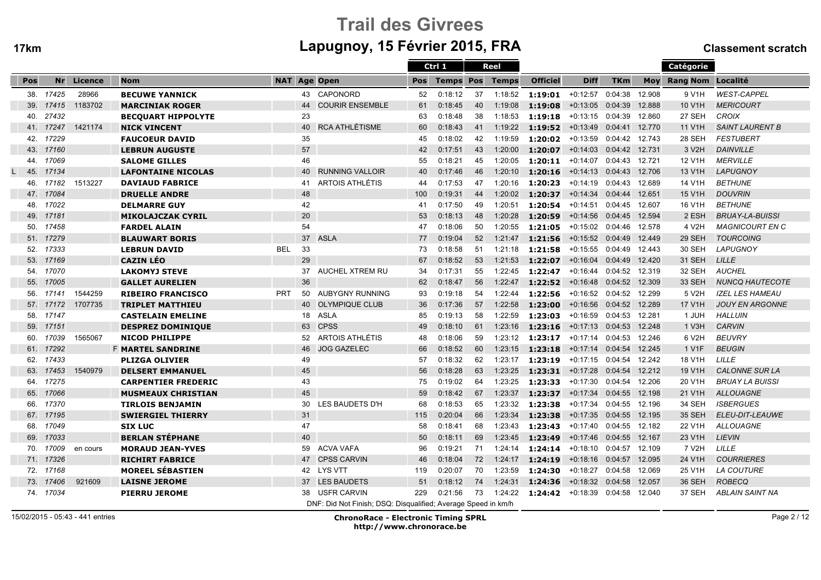# Trail des Givreesm Lapugnoy, 15 Février 2015, FRA Classement scratch

|     |           |            |                            |            |    |                                                               |            | Ctrl 1           |    | Reel         |                    |             |                |        | Catégorie             |                        |
|-----|-----------|------------|----------------------------|------------|----|---------------------------------------------------------------|------------|------------------|----|--------------|--------------------|-------------|----------------|--------|-----------------------|------------------------|
| Pos |           | Nr Licence | <b>Nom</b>                 |            |    | <b>NAT Age Open</b>                                           | <b>Pos</b> | <b>Temps Pos</b> |    | <b>Temps</b> | <b>Officiel</b>    | <b>Diff</b> | <b>TKm</b>     |        | Moy Rang Nom Localité |                        |
| 38. | 17425     | 28966      | <b>BECUWE YANNICK</b>      |            |    | 43 CAPONORD                                                   | 52         | 0:18:12          | 37 | 1:18:52      | $1:19:01$ +0:12:57 |             | 0:04:38        | 12.908 | 9 V1H                 | <b>WEST-CAPPEL</b>     |
| 39. | 17415     | 1183702    | <b>MARCINIAK ROGER</b>     |            | 44 | <b>COURIR ENSEMBLE</b>                                        | 61         | 0:18:45          | 40 | 1:19:08      | 1:19:08            | $+0:13:05$  | 0:04:39        | 12.888 | 10 V1H                | <b>MERICOURT</b>       |
| 40. | 27432     |            | <b>BECOUART HIPPOLYTE</b>  |            | 23 |                                                               | 63         | 0:18:48          | 38 | 1:18:53      | 1:19:18            | $+0:13:15$  | 0:04:39        | 12.860 | 27 SEH                | <b>CROIX</b>           |
| 41. | 17247     | 1421174    | <b>NICK VINCENT</b>        |            | 40 | <b>RCA ATHLÉTISME</b>                                         | 60         | 0:18:43          | 41 | 1:19:22      | 1:19:52            | +0:13:49    | 0:04:41        | 12.770 | 11 V1H                | <b>SAINT LAURENT B</b> |
| 42. | 17229     |            | <b>FAUCOEUR DAVID</b>      |            | 35 |                                                               | 45         | 0:18:02          | 42 | 1:19:59      | 1:20:02            | +0:13:59    | 0:04:42 12.743 |        | 28 SEH                | <b>FESTUBERT</b>       |
| 43. | 17160     |            | <b>LEBRUN AUGUSTE</b>      |            | 57 |                                                               | 42         | 0:17:51          | 43 | 1:20:00      | 1:20:07            | $+0:14:03$  | 0:04:42 12.731 |        | 3 V2H                 | <b>DAINVILLE</b>       |
| 44. | 17069     |            | <b>SALOME GILLES</b>       |            | 46 |                                                               | 55         | 0:18:21          | 45 | 1:20:05      | 1:20:11            | $+0:14:07$  | 0:04:43        | 12.721 | 12 V1H                | <b>MERVILLE</b>        |
| 45. | 17134     |            | <b>LAFONTAINE NICOLAS</b>  |            | 40 | <b>RUNNING VALLOIR</b>                                        | 40         | 0:17:46          | 46 | 1:20:10      | 1:20:16            | $+0:14:13$  | 0:04:43        | 12.706 | 13 V1H                | <b>LAPUGNOY</b>        |
| 46. | 17182     | 1513227    | <b>DAVIAUD FABRICE</b>     |            | 41 | ARTOIS ATHLÉTIS                                               | 44         | 0:17:53          | 47 | 1:20:16      | 1:20:23            | $+0:14:19$  | 0:04:43        | 12.689 | 14 V1H                | <b>BETHUNE</b>         |
| 47. | 17084     |            | <b>DRUELLE ANDRE</b>       |            | 48 |                                                               | 100        | 0:19:31          | 44 | 1:20:02      | 1:20:37            | $+0:14:34$  | 0:04:44        | 12.651 | 15 V1H                | <b>DOUVRIN</b>         |
| 48. | 17022     |            | <b>DELMARRE GUY</b>        |            | 42 |                                                               | 41         | 0:17:50          | 49 | 1:20:51      | 1:20:54            | $+0:14:51$  | 0:04:45        | 12.607 | 16 V1H                | <b>BETHUNE</b>         |
| 49. | 17181     |            | <b>MIKOLAJCZAK CYRIL</b>   |            | 20 |                                                               | 53         | 0:18:13          | 48 | 1:20:28      | 1:20:59            | $+0:14:56$  | 0:04:45 12.594 |        | 2 ESH                 | <b>BRUAY-LA-BUISSI</b> |
| 50. | 17458     |            | <b>FARDEL ALAIN</b>        |            | 54 |                                                               | 47         | 0:18:06          | 50 | 1:20:55      | 1:21:05            | $+0:15:02$  | 0:04:46        | 12.578 | 4 V <sub>2</sub> H    | MAGNICOURT EN C        |
| 51. | 17279     |            | <b>BLAUWART BORIS</b>      |            | 37 | <b>ASLA</b>                                                   | 77         | 0:19:04          | 52 | 1:21:47      | 1:21:56            | $+0:15:52$  | 0:04:49        | 12.449 | 29 SEH                | <b>TOURCOING</b>       |
| 52. | 17333     |            | <b>LEBRUN DAVID</b>        | <b>BEL</b> | 33 |                                                               | 73         | 0:18:58          | 51 | 1:21:18      | 1:21:58            | $+0:15:55$  | 0:04:49        | 12.443 | 30 SEH                | <b>LAPUGNOY</b>        |
| 53. | 17169     |            | <b>CAZIN LÉO</b>           |            | 29 |                                                               | 67         | 0:18:52          | 53 | 1:21:53      | 1:22:07            | $+0:16:04$  | 0:04:49        | 12.420 | 31 SEH                | LILLE                  |
| 54. | 17070     |            | <b>LAKOMYJ STEVE</b>       |            | 37 | AUCHEL XTREM RU                                               | 34         | 0:17:31          | 55 | 1:22:45      | 1:22:47            | $+0:16:44$  | 0:04:52 12.319 |        | 32 SEH                | <b>AUCHEL</b>          |
| 55. | 17005     |            | <b>GALLET AURELIEN</b>     |            | 36 |                                                               | 62         | 0:18:47          | 56 | 1:22:47      | 1:22:52            | $+0:16:48$  | 0:04:52        | 12.309 | <b>33 SEH</b>         | NUNCQ HAUTECOTE        |
| 56. | 17141     | 1544259    | <b>RIBEIRO FRANCISCO</b>   | <b>PRT</b> | 50 | <b>AUBYGNY RUNNING</b>                                        | 93         | 0:19:18          | 54 | 1:22:44      | 1:22:56            | +0:16:52    | 0:04:52 12.299 |        | 5 V2H                 | <b>IZEL LES HAMEAU</b> |
| 57. | 17172     | 1707735    | <b>TRIPLET MATTHIEU</b>    |            | 40 | <b>OLYMPIQUE CLUB</b>                                         | 36         | 0:17:36          | 57 | 1:22:58      | 1:23:00            | $+0:16:56$  | 0:04:52        | 12.289 | 17 V1H                | <b>JOUY EN ARGONNE</b> |
| 58. | 17147     |            | <b>CASTELAIN EMELINE</b>   |            | 18 | <b>ASLA</b>                                                   | 85         | 0:19:13          | 58 | 1:22:59      | 1:23:03            | +0:16:59    | 0:04:53        | 12.281 | 1 JUH                 | <b>HALLUIN</b>         |
| 59. | 17151     |            | <b>DESPREZ DOMINIQUE</b>   |            | 63 | <b>CPSS</b>                                                   | 49         | 0:18:10          | 61 | 1:23:16      | 1:23:16            | $+0:17:13$  | 0:04:53        | 12.248 | 1 V3H                 | <b>CARVIN</b>          |
| 60. | 17039     | 1565067    | <b>NICOD PHILIPPE</b>      |            | 52 | ARTOIS ATHLÉTIS                                               | 48         | 0:18:06          | 59 | 1:23:12      | 1:23:17            | $+0:17:14$  | 0:04:53 12.246 |        | 6 V2H                 | <b>BEUVRY</b>          |
| 61. | 17292     |            | <b>F MARTEL SANDRINE</b>   |            | 46 | <b>JOG GAZELEC</b>                                            | 66         | 0:18:52          | 60 | 1:23:15      | 1:23:18            | $+0:17:14$  | 0:04:54        | 12.245 | 1 V <sub>1</sub> F    | <b>BEUGIN</b>          |
| 62. | 17433     |            | <b>PLIZGA OLIVIER</b>      |            | 49 |                                                               | 57         | 0:18:32          | 62 | 1:23:17      | 1:23:19            | $+0:17:15$  | 0:04:54 12.242 |        | 18 V1H                | LILLE                  |
| 63. | 17453     | 1540979    | <b>DELSERT EMMANUEL</b>    |            | 45 |                                                               | 56         | 0:18:28          | 63 | 1:23:25      | 1:23:31            | $+0:17:28$  | 0:04:54        | 12.212 | 19 V1H                | <b>CALONNE SUR LA</b>  |
| 64. | 17275     |            | <b>CARPENTIER FREDERIC</b> |            | 43 |                                                               | 75         | 0:19:02          | 64 | 1:23:25      | 1:23:33            | $+0:17:30$  | 0:04:54        | 12.206 | 20 V1H                | <b>BRUAY LA BUISSI</b> |
| 65. | 17066     |            | <b>MUSMEAUX CHRISTIAN</b>  |            | 45 |                                                               | 59         | 0:18:42          | 67 | 1:23:37      | 1:23:37            | $+0:17:34$  | 0:04:55        | 12.198 | 21 V1H                | <b>ALLOUAGNE</b>       |
| 66. | 17370     |            | <b>TIRLOIS BENJAMIN</b>    |            | 30 | LES BAUDETS D'H                                               | 68         | 0:18:53          | 65 | 1:23:32      | 1:23:38            | $+0:17:34$  | 0:04:55        | 12.196 | 34 SEH                | <b>ISBERGUES</b>       |
| 67. | 17195     |            | <b>SWIERGIEL THIERRY</b>   |            | 31 |                                                               | 115        | 0:20:04          | 66 | 1:23:34      | 1:23:38            | $+0:17:35$  | 0:04:55        | 12.195 | <b>35 SEH</b>         | ELEU-DIT-LEAUWE        |
| 68. | 17049     |            | <b>SIX LUC</b>             |            | 47 |                                                               | 58         | 0:18:41          | 68 | 1:23:43      | 1:23:43            | +0:17:40    | 0:04:55 12.182 |        | 22 V1H                | <b>ALLOUAGNE</b>       |
| 69. | 17033     |            | <b>BERLAN STEPHANE</b>     |            | 40 |                                                               | 50         | 0:18:11          | 69 | 1:23:45      | 1:23:49            | +0:17:46    | 0:04:55        | 12.167 | 23 V <sub>1</sub> H   | <b>LIEVIN</b>          |
| 70. | 17009     | en cours   | <b>MORAUD JEAN-YVES</b>    |            | 59 | <b>ACVA VAFA</b>                                              | 96         | 0:19:21          | 71 | 1:24:14      | 1:24:14            | $+0:18:10$  | 0:04:57        | 12.109 | 7 V2H                 | LILLE                  |
| 71. | 17326     |            | <b>RICHIRT FABRICE</b>     |            | 47 | <b>CPSS CARVIN</b>                                            | 46         | 0:18:04          | 72 | 1:24:17      | 1:24:19            | $+0:18:16$  | 0:04:57        | 12.095 | 24 V1H                | <b>COURRIERES</b>      |
| 72. | 17168     |            | <b>MOREEL SÉBASTIEN</b>    |            |    | 42 LYS VTT                                                    | 119        | 0:20:07          | 70 | 1:23:59      | 1:24:30            | $+0:18:27$  | 0:04:58        | 12.069 | 25 V1H                | <b>LA COUTURE</b>      |
| 73. | 17406     | 921609     | <b>LAISNE JEROME</b>       |            |    | 37 LES BAUDETS                                                | 51         | 0:18:12          | 74 | 1:24:31      | 1:24:36            | $+0:18:32$  | 0:04:58        | 12.057 | 36 SEH                | <b>ROBECQ</b>          |
|     | 74. 17034 |            | <b>PIERRU JEROME</b>       |            |    | 38 USFR CARVIN                                                | 229        | 0:21:56          | 73 |              | 1:24:22 1:24:42    | +0:18:39    | 0:04:58        | 12.040 | 37 SEH                | ABLAIN SAINT NA        |
|     |           |            |                            |            |    | DNF: Did Not Finish; DSQ: Disqualified; Average Speed in km/h |            |                  |    |              |                    |             |                |        |                       |                        |

15/02/2015 - 05:43 - 441 entries

ChronoRace - Electronic Timing SPRL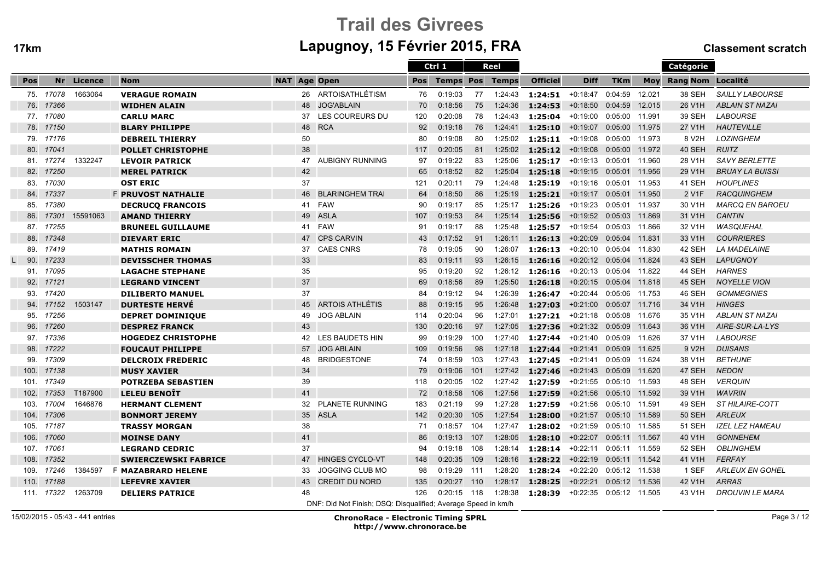# Trail des Givreesm Lapugnoy, 15 Février 2015, FRA Classement scratch

|      |            |          |                             |                     |                                                               |            | Ctrl 1           |     | <b>Reel</b> |                                     |                           |                |        | Catégorie             |                        |
|------|------------|----------|-----------------------------|---------------------|---------------------------------------------------------------|------------|------------------|-----|-------------|-------------------------------------|---------------------------|----------------|--------|-----------------------|------------------------|
| Pos  | Nr         | Licence  | <b>Nom</b>                  | <b>NAT Age Open</b> |                                                               | <b>Pos</b> | <b>Temps Pos</b> |     | Temps       | <b>Officiel</b>                     | <b>Diff</b>               | <b>TKm</b>     |        | Moy Rang Nom Localité |                        |
|      | 75. 17078  | 1663064  | <b>VERAGUE ROMAIN</b>       | 26                  | ARTOISATHLÉTISM                                               | 76         | 0:19:03          | 77  | 1:24:43     | $1:24:51$ +0:18:47                  |                           | 0:04:59        | 12.021 | 38 SEH                | <b>SAILLY LABOURSE</b> |
| 76.  | 17366      |          | <b>WIDHEN ALAIN</b>         | 48                  | <b>JOG'ABLAIN</b>                                             | 70         | 0:18:56          | 75  | 1:24:36     | 1:24:53                             | $+0:18:50$                | 0:04:59        | 12.015 | 26 V <sub>1</sub> H   | <b>ABLAIN ST NAZAI</b> |
|      | 77. 17080  |          | <b>CARLU MARC</b>           | 37                  | LES COUREURS DU                                               | 120        | 0:20:08          | 78  | 1:24:43     | 1:25:04                             | $+0:19:00$                | 0:05:00 11.991 |        | 39 SEH                | <b>LABOURSE</b>        |
| 78.  | 17150      |          | <b>BLARY PHILIPPE</b>       | 48                  | <b>RCA</b>                                                    | 92         | 0:19:18          | 76  | 1:24:41     | 1:25:10                             | $+0:19:07$                | 0:05:00 11.975 |        | 27 V1H                | <b>HAUTEVILLE</b>      |
| 79.  | 17176      |          | <b>DEBREIL THIERRY</b>      | 50                  |                                                               | 80         | 0:19:08          | 80  | 1:25:02     | 1:25:11                             | +0:19:08                  | 0:05:00 11.973 |        | 8 V2H                 | <b>LOZINGHEM</b>       |
| 80.  | 17041      |          | <b>POLLET CHRISTOPHE</b>    | 38                  |                                                               | 117        | 0:20:05          | 81  |             | $1:25:02$ <b>1:25:12</b> $+0:19:08$ |                           | 0:05:00 11.972 |        | 40 SEH                | <b>RUITZ</b>           |
| 81.  | 17274      | 1332247  | <b>LEVOIR PATRICK</b>       | 47                  | <b>AUBIGNY RUNNING</b>                                        | 97         | 0:19:22          | 83  | 1:25:06     | 1:25:17                             | $+0:19:13$                | 0:05:01        | 11.960 | 28 V1H                | SAVY BERLETTE          |
| 82.  | 17250      |          | <b>MEREL PATRICK</b>        | 42                  |                                                               | 65         | 0:18:52          | 82  | 1:25:04     | 1:25:18                             | $+0:19:15$                | 0:05:01 11.956 |        | 29 V1H                | <b>BRUAY LA BUISSI</b> |
| 83.  | 17030      |          | <b>OST ERIC</b>             | 37                  |                                                               | 121        | 0:20:11          | 79  | 1:24:48     | 1:25:19                             | $+0:19:16$                | 0:05:01        | 11.953 | 41 SEH                | <b>HOUPLINES</b>       |
| 84.  | 17337      |          | <b>F PRUVOST NATHALIE</b>   | 46                  | <b>BLARINGHEM TRAI</b>                                        | 64         | 0:18:50          | 86  | 1:25:19     | 1:25:21                             | $+0:19:17$                | 0:05:01 11.950 |        | 2 V <sub>1</sub> F    | <b>RACQUINGHEM</b>     |
| 85.  | 17380      |          | <b>DECRUCQ FRANCOIS</b>     | 41                  | <b>FAW</b>                                                    | 90         | 0:19:17          | 85  | 1:25:17     | 1:25:26                             | +0:19:23                  | 0:05:01 11.937 |        | 30 V1H                | <b>MARCQ EN BAROEU</b> |
| 86.  | 17301      | 15591063 | <b>AMAND THIERRY</b>        | 49                  | <b>ASLA</b>                                                   | 107        | 0:19:53          | 84  | 1:25:14     | 1:25:56                             | $+0:19:52$                | 0:05:03 11.869 |        | 31 V1H                | <b>CANTIN</b>          |
| 87.  | 17255      |          | <b>BRUNEEL GUILLAUME</b>    | 41                  | <b>FAW</b>                                                    | 91         | 0:19:17          | 88  | 1:25:48     | 1:25:57                             | $+0:19:54$                | 0:05:03 11.866 |        | 32 V1H                | <b>WASQUEHAL</b>       |
| 88.  | 17348      |          | <b>DIEVART ERIC</b>         | 47                  | <b>CPS CARVIN</b>                                             | 43         | 0:17:52          | 91  | 1:26:11     | 1:26:13                             | $+0:20:09$                | 0:05:04        | 11.831 | 33 V1H                | <b>COURRIERES</b>      |
| 89.  | 17419      |          | <b>MATHIS ROMAIN</b>        | 37                  | <b>CAES CNRS</b>                                              | 78         | 0:19:05          | 90  | 1:26:07     | 1:26:13                             | +0:20:10                  | 0:05:04        | 11.830 | 42 SEH                | <b>LA MADELAINE</b>    |
| 90.  | 17233      |          | <b>DEVISSCHER THOMAS</b>    | 33                  |                                                               | 83         | 0:19:11          | 93  | 1:26:15     | 1:26:16                             | $+0:20:12$                | 0:05:04 11.824 |        | 43 SEH                | <b>LAPUGNOY</b>        |
|      | 91. 17095  |          | <b>LAGACHE STEPHANE</b>     | 35                  |                                                               | 95         | 0:19:20          | 92  | 1:26:12     | 1:26:16                             | $+0:20:13$                | 0:05:04 11.822 |        | 44 SEH                | <b>HARNES</b>          |
| 92.  | 17121      |          | <b>LEGRAND VINCENT</b>      | 37                  |                                                               | 69         | 0:18:56          | 89  | 1:25:50     | 1:26:18                             | $+0:20:15$                | 0:05:04 11.818 |        | 45 SEH                | <b>NOYELLE VION</b>    |
| 93.  | 17420      |          | <b>DILIBERTO MANUEL</b>     | 37                  |                                                               | 84         | 0:19:12          | 94  | 1:26:39     | 1:26:47                             | $+0:20:44$                | 0:05:06 11.753 |        | 46 SEH                | <b>GOMMEGNIES</b>      |
| 94.  | 17152      | 1503147  | <b>DURTESTE HERVE</b>       | 45                  | <b>ARTOIS ATHLÉTIS</b>                                        | 88         | 0:19:15          | 95  | 1:26:48     | 1:27:03                             | +0:21:00  0:05:07  11.716 |                |        | 34 V1H                | <b>HINGES</b>          |
| 95.  | 17256      |          | <b>DEPRET DOMINIQUE</b>     | 49                  | <b>JOG ABLAIN</b>                                             | 114        | 0:20:04          | 96  | 1:27:01     | 1:27:21                             | +0:21:18                  | 0:05:08 11.676 |        | 35 V1H                | <b>ABLAIN ST NAZAI</b> |
| 96.  | 17260      |          | <b>DESPREZ FRANCK</b>       | 43                  |                                                               | 130        | 0:20:16          | 97  | 1:27:05     | 1:27:36                             | $+0:21:32$                | 0:05:09        | 11.643 | 36 V1H                | AIRE-SUR-LA-LYS        |
|      | 97. 17336  |          | <b>HOGEDEZ CHRISTOPHE</b>   |                     | 42 LES BAUDETS HIN                                            | 99         | 0:19:29          | 100 | 1:27:40     | 1:27:44                             | $+0:21:40$                | 0:05:09 11.626 |        | 37 V1H                | <b>LABOURSE</b>        |
| 98.  | 17222      |          | <b>FOUCAUT PHILIPPE</b>     | 57                  | <b>JOG ABLAIN</b>                                             | 109        | 0:19:56          | 98  | 1:27:18     | 1:27:44                             | $+0:21:41$                | 0:05:09 11.625 |        | 9 V <sub>2</sub> H    | <b>DUISANS</b>         |
| 99.  | 17309      |          | <b>DELCROIX FREDERIC</b>    | 48                  | <b>BRIDGESTONE</b>                                            | 74         | 0:18:59          | 103 | 1:27:43     | 1:27:45                             | $+0:21:41$                | 0:05:09 11.624 |        | 38 V1H                | <b>BETHUNE</b>         |
| 100. | 17138      |          | <b>MUSY XAVIER</b>          | 34                  |                                                               | 79         | 0:19:06          | 101 |             | $1:27:42$ <b>1:27:46</b>            | $+0:21:43$                | 0:05:09 11.620 |        | 47 SEH                | <b>NEDON</b>           |
| 101. | 17349      |          | <b>POTRZEBA SEBASTIEN</b>   | 39                  |                                                               | 118        | 0:20:05          | 102 | 1:27:42     | 1:27:59                             | +0:21:55                  | 0:05:10 11.593 |        | 48 SEH                | <b>VERQUIN</b>         |
| 102. | 17353      | T187900  | <b>LELEU BENOÎT</b>         | 41                  |                                                               | 72         | 0:18:58          | 106 | 1:27:56     | 1:27:59                             | $+0:21:56$                | 0:05:10 11.592 |        | 39 V1H                | <b>WAVRIN</b>          |
| 103. | 17004      | 1646876  | <b>HERMANT CLEMENT</b>      | 32                  | <b>PLANETE RUNNING</b>                                        | 183        | 0:21:19          | 99  | 1:27:28     | 1:27:59                             | $+0:21:56$                | 0:05:10 11.591 |        | 49 SEH                | <b>ST HILAIRE-COTT</b> |
| 104. | 17306      |          | <b>BONMORT JEREMY</b>       |                     | 35 ASLA                                                       | 142        | 0:20:30          | 105 | 1:27:54     | 1:28:00                             | $+0:21:57$                | 0:05:10 11.589 |        | <b>50 SEH</b>         | <b>ARLEUX</b>          |
|      | 105. 17187 |          | <b>TRASSY MORGAN</b>        | 38                  |                                                               | 71         | 0:18:57          | 104 | 1:27:47     | $1:28:02$ +0:21:59                  |                           | 0:05:10 11.585 |        | <b>51 SEH</b>         | <b>IZEL LEZ HAMEAU</b> |
| 106. | 17060      |          | <b>MOINSE DANY</b>          | 41                  |                                                               | 86         | 0:19:13          | 107 | 1:28:05     | 1:28:10                             | $+0:22:07$                | 0:05:11 11.567 |        | 40 V1H                | <b>GONNEHEM</b>        |
| 107. | 17061      |          | <b>LEGRAND CEDRIC</b>       | 37                  |                                                               | 94         | 0:19:18          | 108 | 1:28:14     | 1:28:14                             | +0:22:11                  | 0:05:11 11.559 |        | 52 SEH                | <b>OBLINGHEM</b>       |
| 108. | 17352      |          | <b>SWIERCZEWSKI FABRICE</b> | 47                  | <b>HINGES CYCLO-VT</b>                                        | 148        | 0:20:35          | 109 | 1:28:16     | 1:28:22                             | $+0:22:19$                | 0:05:11        | 11.542 | 41 V1H                | <b>FERFAY</b>          |
| 109. | 17246      | 1384597  | <b>F MAZABRARD HELENE</b>   | 33                  | JOGGING CLUB MO                                               | 98         | 0:19:29          | 111 | 1:28:20     | 1:28:24                             | +0:22:20                  | 0:05:12 11.538 |        | 1 SEF                 | <b>ARLEUX EN GOHEL</b> |
| 110. | 17188      |          | <b>LEFEVRE XAVIER</b>       | 43                  | <b>CREDIT DU NORD</b>                                         | 135        | 0:20:27          | 110 | 1:28:17     | 1:28:25                             | $+0:22:21$                | 0:05:12 11.536 |        | 42 V1H                | <b>ARRAS</b>           |
|      | 111. 17322 | 1263709  | <b>DELIERS PATRICE</b>      | 48                  |                                                               | 126        | 0:20:15          | 118 | 1:28:38     | 1:28:39                             | $+0:22:35$                | 0:05:12 11.505 |        | 43 V1H                | <b>DROUVIN LE MARA</b> |
|      |            |          |                             |                     | DNF: Did Not Finish; DSQ: Disqualified; Average Speed in km/h |            |                  |     |             |                                     |                           |                |        |                       |                        |

15/02/2015 - 05:43 - 441 entries

ChronoRace - Electronic Timing SPRL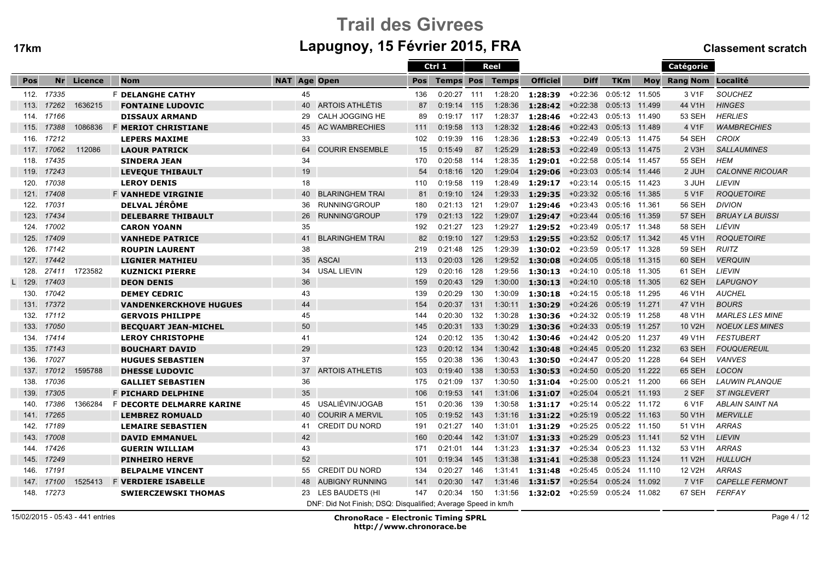# Trail des Givreesm Lapugnoy, 15 Février 2015, FRA Classement scratch

|      |       |            |                               |                     |                                                               |            | Ctrl 1           |     | Reel         |                 |             |                  |        | Catégorie             |                        |
|------|-------|------------|-------------------------------|---------------------|---------------------------------------------------------------|------------|------------------|-----|--------------|-----------------|-------------|------------------|--------|-----------------------|------------------------|
| Pos  |       | Nr Licence | <b>Nom</b>                    | <b>NAT Age Open</b> |                                                               | <b>Pos</b> | <b>Temps Pos</b> |     | <b>Temps</b> | <b>Officiel</b> | <b>Diff</b> | <b>TKm</b>       |        | Moy Rang Nom Localité |                        |
| 112. | 17335 |            | <b>F DELANGHE CATHY</b>       | 45                  |                                                               | 136        | 0:20:27          | 111 | 1:28:20      | 1:28:39         | $+0:22:36$  | 0:05:12          | 11.505 | 3 V1F                 | <b>SOUCHEZ</b>         |
| 113. | 17262 | 1636215    | <b>FONTAINE LUDOVIC</b>       | 40                  | <b>ARTOIS ATHLÉTIS</b>                                        | 87         | 0:19:14          | 115 | 1:28:36      | 1:28:42         | $+0:22:38$  | 0:05:13          | 11.499 | 44 V1H                | <b>HINGES</b>          |
| 114. | 17166 |            | <b>DISSAUX ARMAND</b>         | 29                  | CALH JOGGING HE                                               | 89         | 0:19:17          | 117 | 1:28:37      | 1:28:46         | $+0:22:43$  | 0:05:13 11.490   |        | <b>53 SEH</b>         | <b>HERLIES</b>         |
| 115. | 17388 | 1086836    | <b>F MERIOT CHRISTIANE</b>    | 45                  | <b>AC WAMBRECHIES</b>                                         | 111        | 0:19:58          | 113 | 1:28:32      | 1:28:46         | $+0:22:43$  | 0:05:13 11.489   |        | 4 V1F                 | <b>WAMBRECHIES</b>     |
| 116. | 17212 |            | <b>LEPERS MAXIME</b>          | 33                  |                                                               | 102        | 0:19:39          | 116 | 1:28:36      | 1:28:53         | +0:22:49    | 0:05:13 11.475   |        | 54 SEH                | CROIX                  |
| 117. | 17062 | 112086     | <b>LAOUR PATRICK</b>          | 64                  | <b>COURIR ENSEMBLE</b>                                        | 15         | 0:15:49          | 87  | 1:25:29      | 1:28:53         | $+0:22:49$  | 0:05:13 11.475   |        | 2 V3H                 | <b>SALLAUMINES</b>     |
| 118. | 17435 |            | <b>SINDERA JEAN</b>           | 34                  |                                                               | 170        | 0:20:58          | 114 | 1:28:35      | 1:29:01         | $+0:22:58$  | 0:05:14 11.457   |        | 55 SEH                | <b>HEM</b>             |
| 119. | 17243 |            | <b>LEVEQUE THIBAULT</b>       | 19                  |                                                               | 54         | 0:18:16          | 120 | 1:29:04      | 1:29:06         | $+0:23:03$  | 0:05:14 11.446   |        | 2 JUH                 | <b>CALONNE RICOUAR</b> |
| 120. | 17038 |            | <b>LEROY DENIS</b>            | 18                  |                                                               | 110        | 0:19:58          | 119 | 1:28:49      | 1:29:17         | $+0:23:14$  | 0:05:15 11.423   |        | 3 JUH                 | LIEVIN                 |
| 121. | 17408 |            | <b>F VANHEDE VIRGINIE</b>     | 40                  | <b>BLARINGHEM TRAI</b>                                        | 81         | 0:19:10          | 124 | 1:29:33      | 1:29:35         | $+0:23:32$  | 0:05:16 11.385   |        | 5 V1F                 | <b>ROQUETOIRE</b>      |
| 122. | 17031 |            | <b>DELVAL JÉRÔME</b>          | 36                  | RUNNING'GROUP                                                 | 180        | 0:21:13          | 121 | 1:29:07      | 1:29:46         | +0:23:43    | 0:05:16 11.361   |        | <b>56 SEH</b>         | <b>DIVION</b>          |
| 123. | 17434 |            | <b>DELEBARRE THIBAULT</b>     | 26                  | RUNNING'GROUP                                                 | 179        | 0:21:13          | 122 | 1:29:07      | 1:29:47         | $+0:23:44$  | 0:05:16 11.359   |        | <b>57 SEH</b>         | <b>BRUAY LA BUISSI</b> |
| 124. | 17002 |            | <b>CARON YOANN</b>            | 35                  |                                                               | 192        | 0:21:27          | 123 | 1:29:27      | 1:29:52         | $+0:23:49$  | 0:05:17          | 11.348 | <b>58 SEH</b>         | LIÉVIN                 |
| 125. | 17409 |            | <b>VANHEDE PATRICE</b>        | 41                  | <b>BLARINGHEM TRAI</b>                                        | 82         | 0:19:10          | 127 | 1:29:53      | 1:29:55         | $+0.23.52$  | 0:05:17          | 11.342 | 45 V1H                | <b>ROQUETOIRE</b>      |
| 126. | 17142 |            | <b>ROUPIN LAURENT</b>         | 38                  |                                                               | 219        | 0:21:48          | 125 | 1:29:39      | 1:30:02         | $+0.23:59$  | 0:05:17 11.328   |        | 59 SEH                | RUITZ                  |
| 127. | 17442 |            | <b>LIGNIER MATHIEU</b>        | 35                  | <b>ASCAI</b>                                                  | 113        | 0:20:03          | 126 | 1:29:52      | 1:30:08         | $+0:24:05$  | 0:05:18 11.315   |        | 60 SEH                | <b>VERQUIN</b>         |
| 128. | 27411 | 1723582    | <b>KUZNICKI PIERRE</b>        | 34                  | <b>USAL LIEVIN</b>                                            | 129        | 0:20:16          | 128 | 1:29:56      | 1:30:13         | +0:24:10    | 0:05:18 11.305   |        | 61 SEH                | LIEVIN                 |
| 129. | 17403 |            | <b>DEON DENIS</b>             | 36                  |                                                               | 159        | 0:20:43          | 129 | 1:30:00      | 1:30:13         | $+0:24:10$  | 0:05:18 11.305   |        | 62 SEH                | <b>LAPUGNOY</b>        |
| 130. | 17042 |            | <b>DEMEY CEDRIC</b>           | 43                  |                                                               | 139        | 0:20:29          | 130 | 1:30:09      | 1:30:18         | $+0:24:15$  | 0:05:18 11.295   |        | 46 V1H                | <b>AUCHEL</b>          |
| 131. | 17372 |            | <b>VANDENKERCKHOVE HUGUES</b> | 44                  |                                                               | 154        | 0:20:37          | 131 | 1:30:11      | 1:30:29         | $+0:24:26$  | 0:05:19          | 11.271 | 47 V1H                | <b>BOURS</b>           |
| 132. | 17112 |            | <b>GERVOIS PHILIPPE</b>       | 45                  |                                                               | 144        | 0:20:30          | 132 | 1:30:28      | 1:30:36         | $+0:24:32$  | 0:05:19          | 11.258 | 48 V1H                | <b>MARLES LES MINE</b> |
| 133. | 17050 |            | <b>BECOUART JEAN-MICHEL</b>   | 50                  |                                                               | 145        | 0:20:31          | 133 | 1:30:29      | 1:30:36         | $+0:24:33$  | 0:05:19          | 11.257 | 10 V2H                | <b>NOEUX LES MINES</b> |
| 134. | 17414 |            | <b>LEROY CHRISTOPHE</b>       | 41                  |                                                               | 124        | 0:20:12          | 135 | 1:30:42      | 1:30:46         | $+0:24:42$  | 0:05:20          | 11.237 | 49 V1H                | <b>FESTUBERT</b>       |
| 135. | 17143 |            | <b>BOUCHART DAVID</b>         | 29                  |                                                               | 123        | 0:20:12          | 134 | 1:30:42      | 1:30:48         | $+0:24:45$  | 0:05:20          | 11.232 | 63 SEH                | <b>FOUQUEREUIL</b>     |
| 136. | 17027 |            | <b>HUGUES SEBASTIEN</b>       | 37                  |                                                               | 155        | 0:20:38          | 136 | 1:30:43      | 1:30:50         | $+0:24:47$  | 0:05:20          | 11.228 | 64 SEH                | <b>VANVES</b>          |
| 137. | 17012 | 1595788    | <b>DHESSE LUDOVIC</b>         | 37                  | <b>ARTOIS ATHLETIS</b>                                        | 103        | 0:19:40          | 138 | 1:30:53      | 1:30:53         | $+0:24:50$  | 0:05:20          | 11.222 | 65 SEH                | <b>LOCON</b>           |
| 138. | 17036 |            | <b>GALLIET SEBASTIEN</b>      | 36                  |                                                               | 175        | 0:21:09          | 137 | 1:30:50      | 1:31:04         | $+0:25:00$  | 0:05:21          | 11.200 | 66 SEH                | <b>LAUWIN PLANQUE</b>  |
| 139. | 17305 |            | <b>F PICHARD DELPHINE</b>     | 35                  |                                                               | 106        | 0:19:53          | 141 | 1:31:06      | 1:31:07         | $+0.25:04$  | $0:05:21$ 11.193 |        | 2 SEF                 | <b>ST INGLEVERT</b>    |
| 140. | 17386 | 1366284    | F DECORTE DELMARRE KARINE     | 45                  | USALIÉVIN/JOGAB                                               | 151        | 0:20:36          | 139 | 1:30:58      | 1:31:17         | +0:25:14    | 0:05:22 11.172   |        | 6 V1F                 | ABLAIN SAINT NA        |
| 141. | 17265 |            | <b>LEMBREZ ROMUALD</b>        | 40                  | <b>COURIR A MERVIL</b>                                        | 105        | 0:19:52          | 143 | 1:31:16      | 1:31:22         | $+0:25:19$  | 0:05:22          | 11.163 | 50 V1H                | <b>MERVILLE</b>        |
| 142. | 17189 |            | <b>LEMAIRE SEBASTIEN</b>      | 41                  | <b>CREDIT DU NORD</b>                                         | 191        | 0:21:27          | 140 | 1:31:01      | 1:31:29         | $+0:25:25$  | 0:05:22 11.150   |        | 51 V1H                | <b>ARRAS</b>           |
| 143. | 17008 |            | <b>DAVID EMMANUEL</b>         | 42                  |                                                               | 160        | 0:20:44          | 142 | 1:31:07      | 1:31:33         | $+0:25:29$  | 0:05:23          | 11.141 | 52 V1H                | <b>LIEVIN</b>          |
| 144. | 17426 |            | <b>GUERIN WILLIAM</b>         | 43                  |                                                               | 171        | 0:21:01          | 144 | 1:31:23      | 1:31:37         | $+0:25:34$  | 0:05:23          | 11.132 | 53 V1H                | ARRAS                  |
| 145. | 17249 |            | <b>PINHEIRO HERVE</b>         | 52                  |                                                               | 101        | 0:19:34          | 145 | 1:31:38      | 1:31:41         | $+0:25:38$  | 0:05:23          | 11.124 | 11 V2H                | <b>HULLUCH</b>         |
| 146. | 17191 |            | <b>BELPALME VINCENT</b>       | 55                  | <b>CREDIT DU NORD</b>                                         | 134        | 0:20:27          | 146 | 1:31:41      | 1:31:48         | +0:25:45    | 0:05:24 11.110   |        | 12 V2H                | <b>ARRAS</b>           |
| 147. | 17100 | 1525413    | <b>F VERDIERE ISABELLE</b>    | 48                  | <b>AUBIGNY RUNNING</b>                                        | 141        | 0:20:30          | 147 | 1:31:46      | 1:31:57         | $+0:25:54$  | 0:05:24          | 11.092 | 7 V1F                 | <b>CAPELLE FERMONT</b> |
| 148. | 17273 |            | <b>SWIERCZEWSKI THOMAS</b>    | 23                  | LES BAUDETS (HI                                               | 147        | 0:20:34          | 150 | 1:31:56      | 1:32:02         | $+0:25:59$  | 0:05:24          | 11.082 | 67 SEH                | FERFAY                 |
|      |       |            |                               |                     | DNF: Did Not Finish; DSQ: Disqualified; Average Speed in km/h |            |                  |     |              |                 |             |                  |        |                       |                        |

15/02/2015 - 05:43 - 441 entries

ChronoRace - Electronic Timing SPRL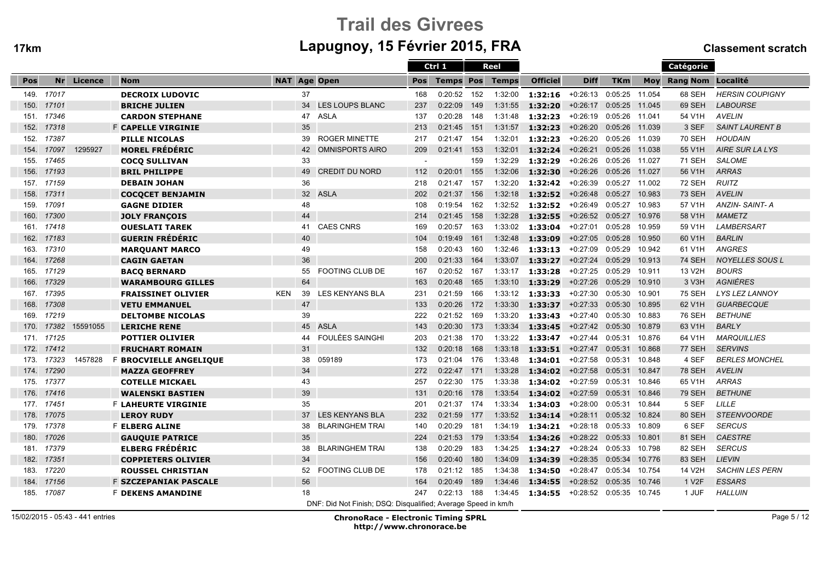Ī

# Trail des Givreesm Lapugnoy, 15 Février 2015, FRA Classement scratch

|      |       |            |                              |                     |                                                               |            | Ctrl 1           |     | <b>Reel</b>  |                 |             |                |        | Catégorie             |                        |
|------|-------|------------|------------------------------|---------------------|---------------------------------------------------------------|------------|------------------|-----|--------------|-----------------|-------------|----------------|--------|-----------------------|------------------------|
| Pos  |       | Nr Licence | <b>Nom</b>                   | <b>NAT Age Open</b> |                                                               | <b>Pos</b> | <b>Temps Pos</b> |     | <b>Temps</b> | <b>Officiel</b> | <b>Diff</b> | <b>TKm</b>     |        | Moy Rang Nom Localité |                        |
| 149. | 17017 |            | <b>DECROIX LUDOVIC</b>       | 37                  |                                                               | 168        | 0:20:52          | 152 | 1:32:00      | 1:32:16         | +0:26:13    | 0:05:25        | 11.054 | 68 SEH                | <b>HERSIN COUPIGNY</b> |
| 150. | 17101 |            | <b>BRICHE JULIEN</b>         | 34                  | <b>LES LOUPS BLANC</b>                                        | 237        | 0:22:09          | 149 | 1:31:55      | 1:32:20         | $+0:26:17$  | 0:05:25        | 11.045 | 69 SEH                | <b>LABOURSE</b>        |
| 151. | 17346 |            | <b>CARDON STEPHANE</b>       | 47                  | <b>ASLA</b>                                                   | 137        | 0:20:28          | 148 | 1:31:48      | 1:32:23         | $+0:26:19$  | 0:05:26 11.041 |        | 54 V1H                | <b>AVELIN</b>          |
| 152. | 17318 |            | <b>F CAPELLE VIRGINIE</b>    | 35                  |                                                               | 213        | 0:21:45          | 151 | 1:31:57      | 1:32:23         | $+0:26:20$  | 0:05:26        | 11.039 | 3 SEF                 | <b>SAINT LAURENT B</b> |
| 152. | 17387 |            | <b>PILLE NICOLAS</b>         | 39                  | <b>ROGER MINETTE</b>                                          | 217        | 0:21:47          | 154 | 1:32:01      | 1:32:23         | $+0:26:20$  | 0:05:26 11.039 |        | <b>70 SEH</b>         | <b>HOUDAIN</b>         |
| 154. | 17097 | 1295927    | <b>MOREL FRÉDÉRIC</b>        | 42                  | <b>OMNISPORTS AIRO</b>                                        | 209        | 0:21:41          | 153 | 1:32:01      | 1:32:24         | $+0:26:21$  | 0:05:26 11.038 |        | 55 V1H                | <b>AIRE SUR LA LYS</b> |
| 155. | 17465 |            | <b>COCO SULLIVAN</b>         | 33                  |                                                               |            |                  | 159 | 1:32:29      | 1:32:29         | $+0:26:26$  | 0:05:26        | 11.027 | 71 SEH                | <b>SALOME</b>          |
| 156. | 17193 |            | <b>BRIL PHILIPPE</b>         | 49                  | <b>CREDIT DU NORD</b>                                         | 112        | 0:20:01          | 155 | 1:32:06      | 1:32:30         | $+0:26:26$  | 0:05:26        | 11.027 | 56 V1H                | <b>ARRAS</b>           |
| 157. | 17159 |            | <b>DEBAIN JOHAN</b>          | 36                  |                                                               | 218        | 0:21:47          | 157 | 1:32:20      | 1:32:42         | $+0.26:39$  | 0:05:27        | 11.002 | <b>72 SEH</b>         | <b>RUITZ</b>           |
| 158. | 17311 |            | <b>COCOCET BENJAMIN</b>      | 32 <sup>2</sup>     | <b>ASLA</b>                                                   | 202        | 0:21:37          | 156 | 1:32:18      | 1:32:52         | $+0:26:48$  | 0:05:27        | 10.983 | <b>73 SEH</b>         | <b>AVELIN</b>          |
| 159. | 17091 |            | <b>GAGNE DIDIER</b>          | 48                  |                                                               | 108        | 0:19:54          | 162 | 1:32:52      | 1:32:52         | +0:26:49    | 0:05:27        | 10.983 | 57 V1H                | ANZIN-SAINT-A          |
| 160. | 17300 |            | <b>JOLY FRANÇOIS</b>         | 44                  |                                                               | 214        | 0:21:45          | 158 | 1:32:28      | 1:32:55         | $+0:26:52$  | 0:05:27        | 10.976 | 58 V1H                | <b>MAMETZ</b>          |
| 161. | 17418 |            | <b>OUESLATI TAREK</b>        | 41                  | <b>CAES CNRS</b>                                              | 169        | 0:20:57          | 163 | 1:33:02      | 1:33:04         | $+0:27:01$  | 0:05:28        | 10.959 | 59 V1H                | <b>LAMBERSART</b>      |
| 162. | 17183 |            | <b>GUERIN FRÉDÉRIC</b>       | 40                  |                                                               | 104        | 0:19:49          | 161 | 1:32:48      | 1:33:09         | $+0:27:05$  | 0:05:28        | 10.950 | 60 V1H                | <b>BARLIN</b>          |
| 163. | 17310 |            | <b>MARQUANT MARCO</b>        | 49                  |                                                               | 158        | 0:20:43          | 160 | 1:32:46      | 1:33:13         | $+0:27:09$  | 0:05:29        | 10.942 | 61 V1H                | <b>ANGRES</b>          |
| 164. | 17268 |            | <b>CAGIN GAETAN</b>          | 36                  |                                                               | 200        | 0:21:33          | 164 | 1:33:07      | 1:33:27         | $+0:27:24$  | 0:05:29        | 10.913 | <b>74 SEH</b>         | <b>NOYELLES SOUS L</b> |
| 165. | 17129 |            | <b>BACO BERNARD</b>          | 55                  | <b>FOOTING CLUB DE</b>                                        | 167        | 0:20:52          | 167 | 1:33:17      | 1:33:28         | $+0:27:25$  | 0:05:29        | 10.911 | 13 V2H                | <b>BOURS</b>           |
| 166. | 17329 |            | <b>WARAMBOURG GILLES</b>     | 64                  |                                                               | 163        | 0:20:48          | 165 | 1:33:10      | 1:33:29         | $+0:27:26$  | 0:05:29        | 10.910 | 3 V3H                 | <b>AGNIÈRES</b>        |
| 167. | 17395 |            | <b>FRAISSINET OLIVIER</b>    | <b>KEN</b><br>39    | <b>LES KENYANS BLA</b>                                        | 231        | 0:21:59          | 166 |              | 1:33:12 1:33:33 | $+0:27:30$  | 0:05:30        | 10.901 | <b>75 SEH</b>         | LYS LEZ LANNOY         |
| 168. | 17308 |            | <b>VETU EMMANUEL</b>         | 47                  |                                                               | 133        | 0:20:26          | 172 | 1:33:30      | 1:33:37         | $+0:27:33$  | 0:05:30        | 10.895 | 62 V1H                | <b>GUARBECQUE</b>      |
| 169. | 17219 |            | <b>DELTOMBE NICOLAS</b>      | 39                  |                                                               | 222        | 0:21:52          | 169 | 1:33:20      | 1:33:43         | $+0:27:40$  | 0:05:30        | 10.883 | 76 SEH                | <b>BETHUNE</b>         |
| 170. | 17382 | 15591055   | <b>LERICHE RENE</b>          | 45                  | <b>ASLA</b>                                                   | 143        | 0:20:30          | 173 | 1:33:34      | 1:33:45         | $+0:27:42$  | 0:05:30        | 10.879 | 63 V1H                | <b>BARLY</b>           |
| 171. | 17125 |            | <b>POTTIER OLIVIER</b>       | 44                  | <b>FOULÉES SAINGHI</b>                                        | 203        | 0:21:38          | 170 | 1:33:22      | 1:33:47         | $+0:27:44$  | 0:05:31        | 10.876 | 64 V1H                | <b>MARQUILLIES</b>     |
| 172. | 17412 |            | <b>FRUCHART ROMAIN</b>       | 31                  |                                                               | 132        | 0:20:18          | 168 | 1:33:18      | 1:33:51         | $+0:27:47$  | 0:05:31        | 10.868 | <b>77 SEH</b>         | <b>SERVINS</b>         |
| 173. | 17323 | 1457828    | F BROCVIELLE ANGELIQUE       | 38                  | 059189                                                        | 173        | 0:21:04          | 176 | 1:33:48      | 1:34:01         | $+0:27:58$  | 0:05:31        | 10.848 | 4 SEF                 | <b>BERLES MONCHEL</b>  |
| 174. | 17290 |            | <b>MAZZA GEOFFREY</b>        | 34                  |                                                               | 272        | 0:22:47          | 171 | 1:33:28      | 1:34:02         | $+0:27:58$  | 0:05:31        | 10.847 | <b>78 SEH</b>         | <b>AVELIN</b>          |
| 175. | 17377 |            | <b>COTELLE MICKAEL</b>       | 43                  |                                                               | 257        | 0:22:30          | 175 | 1:33:38      | 1:34:02         | +0:27:59    | 0:05:31        | 10.846 | 65 V1H                | <b>ARRAS</b>           |
| 176. | 17416 |            | <b>WALENSKI BASTIEN</b>      | 39                  |                                                               | 131        | 0:20:16          | 178 | 1:33:54      | 1:34:02         | $+0:27:59$  | 0:05:31        | 10.846 | <b>79 SEH</b>         | <b>BETHUNE</b>         |
| 177. | 17451 |            | <b>F LAHEURTE VIRGINIE</b>   | 35                  |                                                               | 201        | 0:21:37          | 174 | 1:33:34      | 1:34:03         | $+0.28:00$  | 0:05:31        | 10.844 | 5 SEF                 | <b>LILLE</b>           |
| 178. | 17075 |            | <b>LEROY RUDY</b>            | 37                  | <b>LES KENYANS BLA</b>                                        | 232        | 0:21:59          | 177 | 1:33:52      | 1:34:14         | $+0:28:11$  | 0:05:32        | 10.824 | 80 SEH                | <b>STEENVOORDE</b>     |
| 179. | 17378 |            | <b>F ELBERG ALINE</b>        | 38                  | <b>BLARINGHEM TRAI</b>                                        | 140        | 0:20:29          | 181 | 1:34:19      | 1:34:21         | $+0:28:18$  | 0:05:33        | 10.809 | 6 SEF                 | <b>SERCUS</b>          |
| 180. | 17026 |            | <b>GAUQUIE PATRICE</b>       | 35                  |                                                               | 224        | 0:21:53          | 179 | 1:33:54      | 1:34:26         | $+0:28:22$  | 0:05:33        | 10.801 | 81 SEH                | <b>CAESTRE</b>         |
| 181. | 17379 |            | <b>ELBERG FRÉDÉRIC</b>       | 38                  | <b>BLARINGHEM TRAI</b>                                        | 138        | 0:20:29          | 183 | 1:34:25      | 1:34:27         | $+0:28:24$  | 0:05:33        | 10.798 | 82 SEH                | <b>SERCUS</b>          |
| 182. | 17351 |            | <b>COPPIETERS OLIVIER</b>    | 34                  |                                                               | 156        | 0:20:40          | 180 | 1:34:09      | 1:34:39         | $+0:28:35$  | 0:05:34        | 10.776 | 83 SEH                | <b>LIEVIN</b>          |
| 183. | 17220 |            | <b>ROUSSEL CHRISTIAN</b>     | 52                  | <b>FOOTING CLUB DE</b>                                        | 178        | 0:21:12          | 185 | 1:34:38      | 1:34:50         | $+0:28:47$  | 0:05:34        | 10.754 | 14 V2H                | <b>SACHIN LES PERN</b> |
| 184. | 17156 |            | <b>F SZCZEPANIAK PASCALE</b> | 56                  |                                                               | 164        | 0:20:49          | 189 | 1:34:46      | 1:34:55         | $+0:28:52$  | 0:05:35        | 10.746 | 1 V <sub>2</sub> F    | <b>ESSARS</b>          |
| 185. | 17087 |            | <b>F DEKENS AMANDINE</b>     | 18                  |                                                               | 247        | 0:22:13          | 188 | 1:34:45      | 1:34:55         | $+0:28:52$  | 0:05:35        | 10.745 | 1 JUF                 | <b>HALLUIN</b>         |
|      |       |            |                              |                     | DNF: Did Not Finish: DSQ: Disqualified: Average Speed in km/h |            |                  |     |              |                 |             |                |        |                       |                        |

15/02/2015 - 05:43 - 441 entries

ChronoRace - Electronic Timing SPRL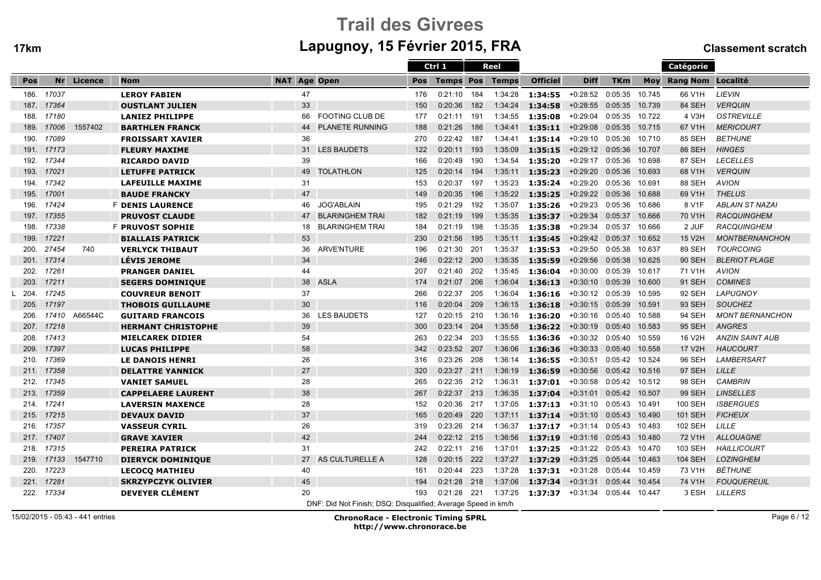# Trail des Givreesm Lapugnoy, 15 Février 2015, FRA Classement scratch

|      |            |            |                           |                     |                                                               |            | Ctrl 1           |     | Reel         |                                   |                    |            |        | <b>Catégorie</b>      |                        |
|------|------------|------------|---------------------------|---------------------|---------------------------------------------------------------|------------|------------------|-----|--------------|-----------------------------------|--------------------|------------|--------|-----------------------|------------------------|
| Pos  |            | Nr Licence | <b>Nom</b>                | <b>NAT Age Open</b> |                                                               | <b>Pos</b> | <b>Temps Pos</b> |     | <b>Temps</b> | <b>Officiel</b>                   | <b>Diff</b>        | <b>TKm</b> |        | Moy Rang Nom Localité |                        |
| 186. | 17037      |            | <b>LEROY FABIEN</b>       | 47                  |                                                               | 176        | 0:21:10          | 184 | 1:34:28      | $1:34:55$ +0:28:52                |                    | 0:05:35    | 10.745 | 66 V1H                | LIEVIN                 |
| 187. | 17364      |            | <b>OUSTLANT JULIEN</b>    | 33                  |                                                               | 150        | 0:20:36          | 182 | 1:34:24      | 1:34:58                           | $+0:28:55$         | 0:05:35    | 10.739 | 84 SEH                | <b>VERQUIN</b>         |
| 188. | 17180      |            | LANIEZ PHILIPPE           | 66                  | <b>FOOTING CLUB DE</b>                                        | 177        | 0:21:11          | 191 | 1:34:55      | 1:35:08                           | $+0.29:04$         | 0:05:35    | 10.722 | 4 V3H                 | <b>OSTREVILLE</b>      |
| 189. | 17006      | 1557402    | <b>BARTHLEN FRANCK</b>    | 44                  | <b>PLANETE RUNNING</b>                                        | 188        | 0:21:26          | 186 | 1:34:41      | 1:35:11                           | $+0.29:08$         | 0:05:35    | 10.715 | 67 V1H                | <b>MERICOURT</b>       |
| 190. | 17089      |            | <b>FROISSART XAVIER</b>   | 36                  |                                                               | 270        | 0:22:42          | 187 | 1:34:41      | 1:35:14                           | +0:29:10 0:05:36   |            | 10.710 | 85 SEH                | <b>BETHUNE</b>         |
| 191. | 17173      |            | <b>FLEURY MAXIME</b>      | 31                  | <b>LES BAUDETS</b>                                            | 122        | 0:20:11          | 193 | 1:35:09      | 1:35:15                           | $+0.29:12$ 0:05:36 |            | 10.707 | 86 SEH                | <b>HINGES</b>          |
| 192. | 17344      |            | <b>RICARDO DAVID</b>      | 39                  |                                                               | 166        | 0:20:49          | 190 | 1:34:54      | 1:35:20                           | $+0:29:17$         | 0:05:36    | 10.698 | 87 SEH                | <b>LECELLES</b>        |
| 193. | 17021      |            | <b>LETUFFE PATRICK</b>    | 49                  | <b>TOLATHLON</b>                                              | 125        | 0:20:14          | 194 | 1:35:11      | 1:35:23                           | $+0:29:20$         | 0:05:36    | 10.693 | 68 V1H                | <b>VERQUIN</b>         |
| 194. | 17342      |            | <b>LAFEUILLE MAXIME</b>   | 31                  |                                                               | 153        | 0:20:37          | 197 | 1:35:23      | 1:35:24                           | $+0.29:20$         | 0:05:36    | 10.691 | 88 SEH                | <b>AVION</b>           |
| 195. | 17001      |            | <b>BAUDE FRANCKY</b>      | 47                  |                                                               | 149        | 0:20:35          | 196 | 1:35:22      | 1:35:25                           | $+0:29:22$         | 0:05:36    | 10.688 | 69 V1H                | <b>THELUS</b>          |
| 196. | 17424      |            | <b>F DENIS LAURENCE</b>   | 46                  | <b>JOG'ABLAIN</b>                                             | 195        | 0:21:29          | 192 | 1:35:07      | 1:35:26                           | $+0:29:23$         | 0:05:36    | 10.686 | 8 V1F                 | <b>ABLAIN ST NAZAI</b> |
| 197. | 17355      |            | <b>PRUVOST CLAUDE</b>     | 47                  | <b>BLARINGHEM TRAI</b>                                        | 182        | 0:21:19          | 199 | 1:35:35      | 1:35:37                           | $+0:29:34$         | 0:05:37    | 10.666 | 70 V1H                | <b>RACQUINGHEM</b>     |
| 198. | 17338      |            | <b>F PRUVOST SOPHIE</b>   | 18                  | <b>BLARINGHEM TRAI</b>                                        | 184        | 0:21:19          | 198 | 1:35:35      | 1:35:38                           | $+0:29:34$         | 0:05:37    | 10.666 | 2 JUF                 | <b>RACQUINGHEM</b>     |
| 199. | 17221      |            | <b>BIALLAIS PATRICK</b>   | 53                  |                                                               | 230        | 0:21:56          | 195 | 1:35:11      | 1:35:45                           | $+0.29:42$         | 0:05:37    | 10.652 | 15 V2H                | <b>MONTBERNANCHON</b>  |
| 200. | 27454      | 740        | <b>VERLYCK THIBAUT</b>    | 36                  | <b>ARVE'NTURE</b>                                             | 196        | 0:21:30          | 201 | 1:35:37      | 1:35:53                           | +0:29:50           | 0:05:38    | 10.637 | 89 SEH                | <b>TOURCOING</b>       |
| 201. | 17314      |            | <b>LÉVIS JEROME</b>       | 34                  |                                                               | 246        | 0:22:12          | 200 | 1:35:35      | 1:35:59                           | $+0.29:56$         | 0:05:38    | 10.625 | <b>90 SEH</b>         | <b>BLERIOT PLAGE</b>   |
| 202. | 17261      |            | <b>PRANGER DANIEL</b>     | 44                  |                                                               | 207        | 0:21:40          | 202 | 1:35:45      | 1:36:04                           | $+0:30:00$         | 0:05:39    | 10.617 | 71 V1H                | <b>AVION</b>           |
| 203. | 17211      |            | <b>SEGERS DOMINIQUE</b>   | 38                  | <b>ASLA</b>                                                   | 174        | 0:21:07          | 206 | 1:36:04      | 1:36:13                           | $+0:30:10$         | 0:05:39    | 10.600 | 91 SEH                | <b>COMINES</b>         |
| 204. | 17245      |            | <b>COUVREUR BENOIT</b>    | 37                  |                                                               | 266        | 0:22:37          | 205 | 1:36:04      | 1:36:16                           | $+0:30:12$ 0:05:39 |            | 10.595 | 92 SEH                | LAPUGNOY               |
| 205. | 17197      |            | <b>THOBOIS GUILLAUME</b>  | 30                  |                                                               | 116        | 0:20:04          | 209 | 1:36:15      | 1:36:18                           | $+0:30:15$         | 0:05:39    | 10.591 | 93 SEH                | <b>SOUCHEZ</b>         |
| 206. | 17410      | A66544C    | <b>GUITARD FRANCOIS</b>   | 36                  | <b>LES BAUDETS</b>                                            | 127        | 0:20:15          | 210 | 1:36:16      | 1:36:20                           | +0:30:16           | 0:05:40    | 10.588 | 94 SEH                | <b>MONT BERNANCHON</b> |
| 207. | 17218      |            | <b>HERMANT CHRISTOPHE</b> | 39                  |                                                               | 300        | 0:23:14          | 204 | 1:35:58      | 1:36:22                           | $+0:30:19$         | 0:05:40    | 10.583 | 95 SEH                | <b>ANGRES</b>          |
| 208. | 17413      |            | <b>MIELCAREK DIDIER</b>   | 54                  |                                                               | 263        | 0:22:34          | 203 | 1:35:55      | 1:36:36                           | $+0:30:32$ 0:05:40 |            | 10.559 | 16 V2H                | <b>ANZIN SAINT AUB</b> |
| 209. | 17397      |            | <b>LUCAS PHILIPPE</b>     | 58                  |                                                               | 342        | 0:23:52          | 207 | 1:36:06      | 1:36:36                           | $+0:30:33$         | 0:05:40    | 10.558 | 17 V2H                | <b>HAUCOURT</b>        |
| 210. | 17369      |            | <b>LE DANOIS HENRI</b>    | 26                  |                                                               | 316        | 0:23:26          | 208 | 1:36:14      | 1:36:55                           | $+0:30:51$         | 0:05:42    | 10.524 | 96 SEH                | <b>LAMBERSART</b>      |
| 211. | 17358      |            | <b>DELATTRE YANNICK</b>   | 27                  |                                                               | 320        | 0:23:27          | 211 | 1:36:19      | 1:36:59                           | $+0:30:56$         | 0:05:42    | 10.516 | 97 SEH                | LILLE                  |
| 212. | 17345      |            | <b>VANIET SAMUEL</b>      | 28                  |                                                               | 265        | 0:22:35          | 212 | 1:36:31      | 1:37:01                           | $+0:30:58$         | 0:05:42    | 10.512 | 98 SEH                | <b>CAMBRIN</b>         |
| 213. | 17359      |            | <b>CAPPELAERE LAURENT</b> | 38                  |                                                               | 267        | 0:22:37          | 213 | 1:36:35      | 1:37:04                           | $+0:31:01$         | 0:05:42    | 10.507 | <b>99 SEH</b>         | <b>LINSELLES</b>       |
|      | 214. 17241 |            | <b>LAVERSIN MAXENCE</b>   | 28                  |                                                               | 152        | 0:20:36          | 217 | 1:37:05      | 1:37:13                           | +0:31:10           | 0:05:43    | 10.491 | 100 SEH               | <b>ISBERGUES</b>       |
| 215. | 17215      |            | <b>DEVAUX DAVID</b>       | 37                  |                                                               | 165        | 0:20:49          | 220 | 1:37:11      | 1:37:14                           | $+0:31:10$         | 0:05:43    | 10.490 | 101 SEH               | <b>FICHEUX</b>         |
| 216. | 17357      |            | <b>VASSEUR CYRIL</b>      | 26                  |                                                               | 319        | 0:23:26          | 214 | 1:36:37      | <b>1:37:17</b> $+0:31:14$ 0:05:43 |                    |            | 10.483 | <b>102 SEH</b>        | LILLE                  |
| 217. | 17407      |            | <b>GRAVE XAVIER</b>       | 42                  |                                                               | 244        | $0:22:12$ 215    |     | 1:36:56      | 1:37:19                           | $+0:31:16$         | 0:05:43    | 10.480 | 72 V1H                | <b>ALLOUAGNE</b>       |
| 218. | 17315      |            | <b>PEREIRA PATRICK</b>    | 31                  |                                                               | 242        | 0:22:11          | 216 | 1:37:01      | 1:37:25                           | $+0:31:22$ 0:05:43 |            | 10.470 | 103 SEH               | <b>HAILLICOURT</b>     |
| 219. | 17133      | 1547710    | <b>DIERYCK DOMINIQUE</b>  | 27                  | AS CULTURELLE A                                               | 128        | 0:20:15          | 222 | 1:37:27      | 1:37:29                           | $+0:31:25$         | 0:05:44    | 10.463 | <b>104 SEH</b>        | <b>LOZINGHEM</b>       |
| 220. | 17223      |            | <b>LECOCO MATHIEU</b>     | 40                  |                                                               | 161        | 0:20:44          | 223 | 1:37:28      | 1:37:31                           | $+0:31:28$         | 0:05:44    | 10.459 | 73 V1H                | <b>BÉTHUNE</b>         |
| 221. | 17281      |            | <b>SKRZYPCZYK OLIVIER</b> | 45                  |                                                               | 194        | 0:21:28          | 218 | 1:37:06      | 1:37:34                           | $+0:31:31$         | 0:05:44    | 10.454 | 74 V1H                | <b>FOUQUEREUIL</b>     |
|      | 222. 17334 |            | <b>DEVEYER CLÉMENT</b>    | 20                  |                                                               | 193        | 0:21:28          | 221 | 1:37:25      | $1:37:37$ $+0:31:34$              |                    | 0:05:44    | 10.447 | 3 ESH                 | <b>LILLERS</b>         |
|      |            |            |                           |                     | DNF: Did Not Finish; DSQ: Disqualified; Average Speed in km/h |            |                  |     |              |                                   |                    |            |        |                       |                        |

15/02/2015 - 05:43 - 441 entries

ChronoRace - Electronic Timing SPRL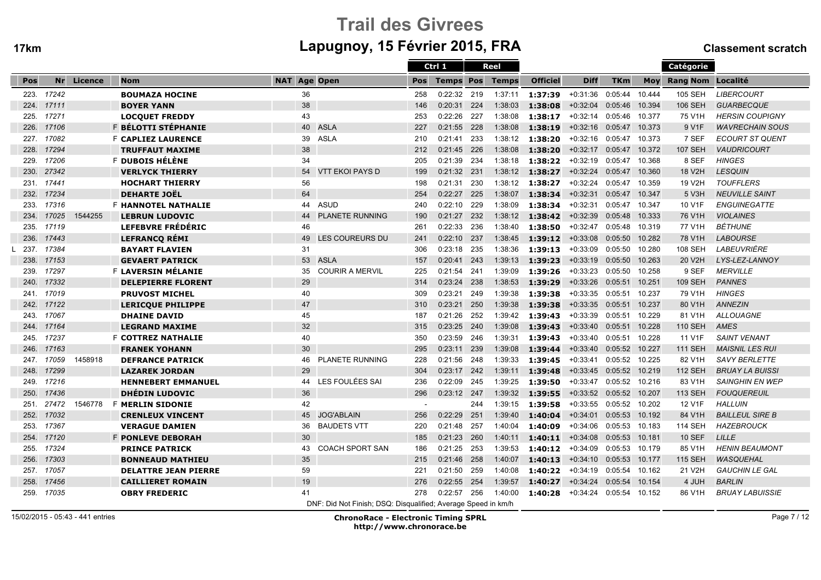# Trail des Givreesm Lapugnoy, 15 Février 2015, FRA Classement scratch

|      |       |         |                             |                                                               |     | Ctrl 1           |     | Reel         |                 |                         |                |            | Catégorie          |                        |
|------|-------|---------|-----------------------------|---------------------------------------------------------------|-----|------------------|-----|--------------|-----------------|-------------------------|----------------|------------|--------------------|------------------------|
| Pos  | Nr    | Licence | <b>Nom</b>                  | <b>Age Open</b><br><b>NAT</b>                                 | Pos | <b>Temps Pos</b> |     | <b>Temps</b> | <b>Officiel</b> | <b>Diff</b>             | <b>TKm</b>     | <b>Mov</b> | Rang Nom Localité  |                        |
| 223. | 17242 |         | <b>BOUMAZA HOCINE</b>       | 36                                                            | 258 | 0:22:32          | 219 | 1:37:11      | 1:37:39         | $+0:31:36$              | 0:05:44        | 10.444     | <b>105 SEH</b>     | <b>LIBERCOURT</b>      |
| 224. | 17111 |         | <b>BOYER YANN</b>           | 38                                                            | 146 | 0:20:31          | 224 | 1:38:03      | 1:38:08         | $+0:32:04$              | 0:05:46        | 10.394     | 106 SEH            | <b>GUARBECQUE</b>      |
| 225. | 17271 |         | <b>LOCQUET FREDDY</b>       | 43                                                            | 253 | 0:22:26          | 227 | 1:38:08      | 1:38:17         | $+0:32:14$              | 0:05:46        | 10.377     | 75 V1H             | <b>HERSIN COUPIGNY</b> |
| 226. | 17106 |         | F BÉLOTTI STÉPHANIE         | <b>ASLA</b><br>40                                             | 227 | 0:21:55          | 228 | 1:38:08      | 1:38:19         | $+0:32:16$              | 0:05:47        | 10.373     | 9 V <sub>1</sub> F | <b>WAVRECHAIN SOUS</b> |
| 227. | 17082 |         | <b>F CAPLIEZ LAURENCE</b>   | <b>ASLA</b><br>39                                             | 210 | 0:21:41          | 233 | 1:38:12      | 1:38:20         | +0:32:16                | 0:05:47 10.373 |            | 7 SEF              | ECOURT ST QUENT        |
| 228. | 17294 |         | <b>TRUFFAUT MAXIME</b>      | 38                                                            | 212 | 0:21:45          | 226 | 1:38:08      | 1:38:20         | +0:32:17 0:05:47 10.372 |                |            | <b>107 SEH</b>     | <b>VAUDRICOURT</b>     |
| 229. | 17206 |         | F DUBOIS HÉLÈNE             | 34                                                            | 205 | 0:21:39          | 234 | 1:38:18      | 1:38:22         | $+0:32:19$              | 0:05:47        | 10.368     | 8 SEF              | <b>HINGES</b>          |
| 230. | 27342 |         | <b>VERLYCK THIERRY</b>      | <b>VTT EKOI PAYS D</b><br>54                                  | 199 | 0:21:32          | 231 | 1:38:12      | 1:38:27         | $+0:32:24$              | 0:05:47        | 10.360     | 18 V2H             | <b>LESQUIN</b>         |
| 231. | 17441 |         | <b>HOCHART THIERRY</b>      | 56                                                            | 198 | 0:21:31          | 230 | 1:38:12      | 1:38:27         | $+0:32:24$              | 0:05:47        | 10.359     | 19 V2H             | <b>TOUFFLERS</b>       |
| 232. | 17234 |         | <b>DEHARTE JOËL</b>         | 64                                                            | 254 | 0:22:27          | 225 | 1:38:07      | 1:38:34         | $+0:32:31$              | 0:05:47        | 10.347     | 5 V3H              | <b>NEUVILLE SAINT</b>  |
| 233. | 17316 |         | <b>F HANNOTEL NATHALIE</b>  | <b>ASUD</b><br>44                                             | 240 | 0:22:10          | 229 | 1:38:09      | 1:38:34         | $+0:32:31$              | 0:05:47 10.347 |            | 10 V1F             | <b>ENGUINEGATTE</b>    |
| 234. | 17025 | 1544255 | <b>LEBRUN LUDOVIC</b>       | <b>PLANETE RUNNING</b><br>44                                  | 190 | 0:21:27          | 232 | 1:38:12      | 1:38:42         | $+0:32:39$              | 0:05:48        | 10.333     | 76 V1H             | <b>VIOLAINES</b>       |
| 235. | 17119 |         | <b>LEFEBVRE FRÉDÉRIC</b>    | 46                                                            | 261 | 0:22:33          | 236 | 1:38:40      | 1:38:50         | $+0:32:47$              | 0:05:48        | 10.319     | 77 V1H             | <b>BÉTHUNE</b>         |
| 236. | 17443 |         | <b>LEFRANCO REMI</b>        | <b>LES COUREURS DU</b><br>49                                  | 241 | 0:22:10          | 237 | 1:38:45      | 1:39:12         | $+0:33:08$              | 0:05:50        | 10.282     | 78 V1H             | <b>LABOURSE</b>        |
| 237. | 17384 |         | <b>BAYART FLAVIEN</b>       | 31                                                            | 306 | 0:23:18          | 235 | 1:38:36      | 1:39:13         | $+0:33:09$              | 0:05:50        | 10.280     | <b>108 SEH</b>     | <b>LABEUVRIÈRE</b>     |
| 238. | 17153 |         | <b>GEVAERT PATRICK</b>      | 53 ASLA                                                       | 157 | 0:20:41          | 243 | 1:39:13      | 1:39:23         | $+0:33:19$              | 0:05:50        | 10.263     | 20 V2H             | LYS-LEZ-LANNOY         |
| 239. | 17297 |         | F LAVERSIN MÉLANIE          | <b>COURIR A MERVIL</b><br>35                                  | 225 | 0:21:54          | 241 | 1:39:09      | 1:39:26         | $+0:33:23$              | 0:05:50 10.258 |            | 9 SEF              | <b>MERVILLE</b>        |
| 240. | 17332 |         | <b>DELEPIERRE FLORENT</b>   | 29                                                            | 314 | 0:23:24          | 238 | 1:38:53      | 1:39:29         | $+0:33:26$              | 0:05:51        | 10.251     | <b>109 SEH</b>     | <b>PANNES</b>          |
| 241. | 17019 |         | <b>PRUVOST MICHEL</b>       | 40                                                            | 309 | 0:23:21          | 249 | 1:39:38      | 1:39:38         | $+0:33:35$              | 0:05:51        | 10.237     | 79 V1H             | <b>HINGES</b>          |
| 242. | 17122 |         | <b>LERICQUE PHILIPPE</b>    | 47                                                            | 310 | 0:23:21          | 250 | 1:39:38      | 1:39:38         | $+0:33:35$              | 0:05:51        | 10.237     | 80 V1H             | <b>ANNEZIN</b>         |
| 243. | 17067 |         | <b>DHAINE DAVID</b>         | 45                                                            | 187 | 0:21:26          | 252 | 1:39:42      | 1:39:43         | $+0:33:39$              | 0:05:51        | 10.229     | 81 V1H             | <b>ALLOUAGNE</b>       |
| 244. | 17164 |         | <b>LEGRAND MAXIME</b>       | 32                                                            | 315 | 0:23:25          | 240 | 1:39:08      | 1:39:43         | $+0:33:40$              | 0:05:51        | 10.228     | <b>110 SEH</b>     | AMES                   |
| 245. | 17237 |         | <b>F COTTREZ NATHALIE</b>   | 40                                                            | 350 | 0:23:59          | 246 | 1:39:31      | 1:39:43         | $+0:33:40$              | 0:05:51        | 10.228     | 11 V1F             | <b>SAINT VENANT</b>    |
| 246. | 17163 |         | <b>FRANEK YOHANN</b>        | 30                                                            | 295 | 0:23:11          | 239 | 1:39:08      | 1:39:44         | $+0:33:40$              | 0:05:52        | 10.227     | <b>111 SEH</b>     | <b>MAISNIL LES RUI</b> |
| 247. | 17059 | 1458918 | <b>DEFRANCE PATRICK</b>     | 46<br><b>PLANETE RUNNING</b>                                  | 228 | 0:21:56          | 248 | 1:39:33      | 1:39:45         | $+0:33:41$              | 0:05:52 10.225 |            | 82 V1H             | <b>SAVY BERLETTE</b>   |
| 248. | 17299 |         | <b>LAZAREK JORDAN</b>       | 29                                                            | 304 | 0:23:17          | 242 | 1:39:11      | 1:39:48         | $+0:33:45$              | 0:05:52        | 10.219     | <b>112 SEH</b>     | <b>BRUAY LA BUISSI</b> |
| 249. | 17216 |         | <b>HENNEBERT EMMANUEL</b>   | LES FOULÉES SAI<br>44                                         | 236 | 0:22:09          | 245 | 1:39:25      | 1:39:50         | $+0:33:47$              | 0:05:52 10.216 |            | 83 V1H             | <b>SAINGHIN EN WEP</b> |
| 250. | 17436 |         | <b>DHÉDIN LUDOVIC</b>       | 36                                                            | 296 | 0:23:12          | 247 | 1:39:32      | 1:39:55         | $+0:33:52$              | 0:05:52        | 10.207     | <b>113 SEH</b>     | <b>FOUQUEREUIL</b>     |
| 251. | 27472 | 1546778 | <b>F MERLIN SIDONIE</b>     | 42                                                            |     |                  | 244 | 1:39:15      | 1:39:58         | $+0:33:55$              | 0:05:52        | 10.202     | 12 V1F             | <b>HALLUIN</b>         |
| 252. | 17032 |         | <b>CRENLEUX VINCENT</b>     | <b>JOG'ABLAIN</b><br>45                                       | 256 | 0:22:29          | 251 | 1:39:40      | 1:40:04         | $+0:34:01$              | 0:05:53        | 10.192     | 84 V1H             | <b>BAILLEUL SIRE B</b> |
| 253. | 17367 |         | <b>VERAGUE DAMIEN</b>       | 36<br><b>BAUDETS VTT</b>                                      | 220 | 0:21:48          | 257 | 1:40:04      | 1:40:09         | $+0:34:06$              | 0:05:53        | 10.183     | <b>114 SEH</b>     | <b>HAZEBROUCK</b>      |
| 254. | 17120 |         | <b>F PONLEVE DEBORAH</b>    | 30                                                            | 185 | 0:21:23          | 260 | 1:40:11      | 1:40:11         | $+0:34:08$              | 0:05:53        | 10.181     | <b>10 SEF</b>      | LILLE                  |
| 255. | 17324 |         | <b>PRINCE PATRICK</b>       | 43<br><b>COACH SPORT SAN</b>                                  | 186 | 0:21:25          | 253 | 1:39:53      | 1:40:12         | $+0:34:09$              | 0:05:53        | 10.179     | 85 V1H             | <b>HENIN BEAUMONT</b>  |
| 256. | 17303 |         | <b>BONNEAUD MATHIEU</b>     | 35                                                            | 215 | 0:21:46          | 258 | 1:40:07      | 1:40:13         | $+0:34:10$              | 0:05:53        | 10.177     | <b>115 SEH</b>     | <b>WASQUEHAL</b>       |
| 257. | 17057 |         | <b>DELATTRE JEAN PIERRE</b> | 59                                                            | 221 | 0:21:50          | 259 | 1:40:08      | 1:40:22         | $+0:34:19$              | 0:05:54        | 10.162     | 21 V2H             | <b>GAUCHIN LE GAL</b>  |
| 258. | 17456 |         | <b>CAILLIERET ROMAIN</b>    | 19                                                            | 276 | 0:22:55          | 254 | 1:39:57      | 1:40:27         | $+0:34:24$              | 0:05:54        | 10.154     | 4 JUH              | <b>BARLIN</b>          |
| 259. | 17035 |         | <b>OBRY FREDERIC</b>        | 41                                                            | 278 | 0:22:57          | 256 | 1:40:00      | 1:40:28         | $+0:34:24$              | 0:05:54        | 10.152     | 86 V1H             | <b>BRUAY LABUISSIE</b> |
|      |       |         |                             | DNF: Did Not Finish; DSQ: Disqualified; Average Speed in km/h |     |                  |     |              |                 |                         |                |            |                    |                        |

15/02/2015 - 05:43 - 441 entries

ChronoRace - Electronic Timing SPRL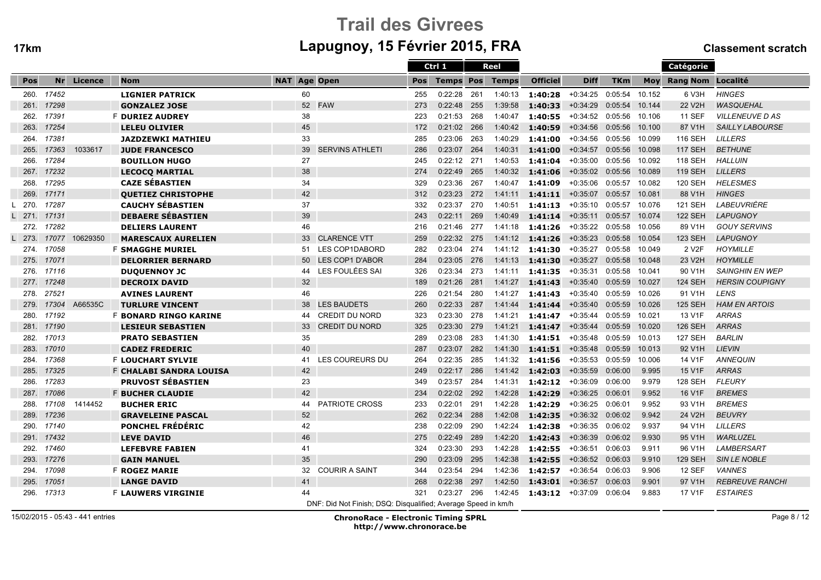# Trail des Givreesm Lapugnoy, 15 Février 2015, FRA Classement scratch

|      |       |          |                              |                     |                                                               |            | Ctrl 1           |     | Reel         |                 |             |            |        | Catégorie             |                        |
|------|-------|----------|------------------------------|---------------------|---------------------------------------------------------------|------------|------------------|-----|--------------|-----------------|-------------|------------|--------|-----------------------|------------------------|
| Pos  | Nr    | Licence  | <b>Nom</b>                   | <b>NAT Age Open</b> |                                                               | <b>Pos</b> | <b>Temps Pos</b> |     | <b>Temps</b> | <b>Officiel</b> | <b>Diff</b> | <b>TKm</b> |        | Moy Rang Nom Localité |                        |
| 260. | 17452 |          | <b>LIGNIER PATRICK</b>       | 60                  |                                                               | 255        | 0:22:28          | 261 | 1:40:13      | 1:40:28         | +0:34:25    | 0:05:54    | 10.152 | 6 V3H                 | <b>HINGES</b>          |
| 261. | 17298 |          | <b>GONZALEZ JOSE</b>         |                     | 52 FAW                                                        | 273        | 0:22:48          | 255 | 1:39:58      | 1:40:33         | $+0:34:29$  | 0:05:54    | 10.144 | 22 V2H                | <b>WASQUEHAL</b>       |
| 262. | 17391 |          | <b>F DURIEZ AUDREY</b>       | 38                  |                                                               | 223        | 0:21:53          | 268 | 1:40:47      | 1:40:55         | $+0:34:52$  | 0:05:56    | 10.106 | <b>11 SEF</b>         | <b>VILLENEUVE D AS</b> |
| 263. | 17254 |          | <b>LELEU OLIVIER</b>         | 45                  |                                                               | 172        | 0:21:02          | 266 | 1:40:42      | 1:40:59         | $+0:34:56$  | 0:05:56    | 10.100 | 87 V1H                | <b>SAILLY LABOURSE</b> |
| 264. | 17381 |          | <b>JAZDZEWKI MATHIEU</b>     | 33                  |                                                               | 285        | 0:23:06          | 263 | 1:40:29      | 1:41:00         | $+0:34:56$  | 0:05:56    | 10.099 | 116 SEH               | <b>LILLERS</b>         |
| 265. | 17363 | 1033617  | <b>JUDE FRANCESCO</b>        | 39                  | <b>SERVINS ATHLETI</b>                                        | 286        | 0:23:07          | 264 | 1:40:31      | 1:41:00         | $+0:34:57$  | 0:05:56    | 10.098 | <b>117 SEH</b>        | <b>BETHUNE</b>         |
| 266. | 17284 |          | <b>BOUILLON HUGO</b>         | 27                  |                                                               | 245        | 0:22:12          | 271 | 1:40:53      | 1:41:04         | $+0:35:00$  | 0:05:56    | 10.092 | 118 SEH               | <b>HALLUIN</b>         |
| 267. | 17232 |          | <b>LECOCO MARTIAL</b>        | 38                  |                                                               | 274        | 0:22:49          | 265 | 1:40:32      | 1:41:06         | $+0:35:02$  | 0:05:56    | 10.089 | <b>119 SEH</b>        | <b>LILLERS</b>         |
| 268. | 17295 |          | <b>CAZE SÉBASTIEN</b>        | 34                  |                                                               | 329        | 0:23:36          | 267 | 1:40:47      | 1:41:09         | $+0:35:06$  | 0:05:57    | 10.082 | 120 SEH               | <b>HELESMES</b>        |
| 269. | 17171 |          | <b>OUETIEZ CHRISTOPHE</b>    | 42                  |                                                               | 312        | 0:23:23          | 272 | 1:41:11      | 1:41:11         | $+0:35:07$  | 0:05:57    | 10.081 | 88 V1H                | <b>HINGES</b>          |
| 270. | 17287 |          | <b>CAUCHY SÉBASTIEN</b>      | 37                  |                                                               | 332        | 0:23:37          | 270 | 1:40:51      | 1:41:13         | $+0:35:10$  | 0:05:57    | 10.076 | <b>121 SEH</b>        | LABEUVRIÈRE            |
| 271. | 17131 |          | <b>DEBAERE SÉBASTIEN</b>     | 39                  |                                                               | 243        | 0:22:11          | 269 | 1:40:49      | 1:41:14         | $+0:35:11$  | 0:05:57    | 10.074 | <b>122 SEH</b>        | <b>LAPUGNOY</b>        |
| 272. | 17282 |          | <b>DELIERS LAURENT</b>       | 46                  |                                                               | 216        | 0:21:46          | 277 | 1:41:18      | 1:41:26         | $+0:35:22$  | 0:05:58    | 10.056 | 89 V1H                | <b>GOUY SERVINS</b>    |
| 273. | 17077 | 10629350 | <b>MARESCAUX AURELIEN</b>    | 33                  | <b>CLARENCE VTT</b>                                           | 259        | 0:22:32          | 275 | 1:41:12      | 1:41:26         | $+0:35:23$  | 0:05:58    | 10.054 | <b>123 SEH</b>        | <b>LAPUGNOY</b>        |
| 274. | 17058 |          | <b>F SMAGGHE MURIEL</b>      | 51                  | LES COP1DABORD                                                | 282        | 0:23:04          | 274 | 1:41:12      | 1:41:30         | $+0:35:27$  | 0:05:58    | 10.049 | 2 V <sub>2</sub> F    | <b>HOYMILLE</b>        |
| 275. | 17071 |          | <b>DELORRIER BERNARD</b>     | 50                  | LES COP1 D'ABOR                                               | 284        | 0:23:05          | 276 | 1:41:13      | 1:41:30         | $+0:35:27$  | 0:05:58    | 10.048 | 23 V2H                | <b>HOYMILLE</b>        |
| 276. | 17116 |          | <b>DUQUENNOY JC</b>          | 44                  | LES FOULÉES SAI                                               | 326        | 0:23:34          | 273 | 1:41:11      | 1:41:35         | $+0:35:31$  | 0:05:58    | 10.041 | 90 V1H                | <b>SAINGHIN EN WEP</b> |
| 277. | 17248 |          | <b>DECROIX DAVID</b>         | 32                  |                                                               | 189        | 0:21:26          | 281 | 1:41:27      | 1:41:43         | $+0:35:40$  | 0:05:59    | 10.027 | <b>124 SEH</b>        | <b>HERSIN COUPIGNY</b> |
| 278. | 27521 |          | <b>AVINES LAURENT</b>        | 46                  |                                                               | 226        | 0:21:54          | 280 | 1:41:27      | 1:41:43         | $+0:35:40$  | 0:05:59    | 10.026 | 91 V1H                | <b>LENS</b>            |
| 279. | 17304 | A66535C  | <b>TURLURE VINCENT</b>       | 38                  | <b>LES BAUDETS</b>                                            | 260        | 0:22:33          | 287 | 1:41:44      | 1:41:44         | $+0:35:40$  | 0:05:59    | 10.026 | <b>125 SEH</b>        | <b>HAM EN ARTOIS</b>   |
| 280. | 17192 |          | <b>F BONARD RINGO KARINE</b> | 44                  | <b>CREDIT DU NORD</b>                                         | 323        | 0:23:30          | 278 | 1:41:21      | 1:41:47         | $+0:35:44$  | 0:05:59    | 10.021 | 13 V1F                | <b>ARRAS</b>           |
| 281. | 17190 |          | <b>LESIEUR SEBASTIEN</b>     | 33                  | <b>CREDIT DU NORD</b>                                         | 325        | 0:23:30          | 279 | 1:41:21      | 1:41:47         | $+0:35:44$  | 0:05:59    | 10.020 | <b>126 SEH</b>        | <b>ARRAS</b>           |
| 282. | 17013 |          | <b>PRATO SEBASTIEN</b>       | 35                  |                                                               | 289        | 0:23:08          | 283 | 1:41:30      | 1:41:51         | $+0:35:48$  | 0:05:59    | 10.013 | <b>127 SEH</b>        | <b>BARLIN</b>          |
| 283. | 17010 |          | <b>CADEZ FREDERIC</b>        | 40                  |                                                               | 287        | 0:23:07          | 282 | 1:41:30      | 1:41:51         | $+0:35:48$  | 0:05:59    | 10.013 | 92 V1H                | <b>LIEVIN</b>          |
| 284. | 17368 |          | <b>F LOUCHART SYLVIE</b>     | 41                  | <b>LES COUREURS DU</b>                                        | 264        | 0:22:35          | 285 | 1:41:32      | 1:41:56         | $+0:35:53$  | 0:05:59    | 10.006 | 14 V1F                | <b>ANNEQUIN</b>        |
| 285. | 17325 |          | F CHALABI SANDRA LOUISA      | 42                  |                                                               | 249        | 0:22:17          | 286 | 1:41:42      | 1:42:03         | $+0:35:59$  | 0:06:00    | 9.995  | 15 V1F                | <b>ARRAS</b>           |
| 286. | 17283 |          | <b>PRUVOST SÉBASTIEN</b>     | 23                  |                                                               | 349        | 0:23:57          | 284 | 1:41:31      | 1:42:12         | $+0.36:09$  | 0:06:00    | 9.979  | <b>128 SEH</b>        | <b>FLEURY</b>          |
| 287. | 17086 |          | <b>F BUCHER CLAUDIE</b>      | 42                  |                                                               | 234        | 0:22:02          | 292 | 1:42:28      | 1:42:29         | $+0:36:25$  | 0:06:01    | 9.952  | 16 V1F                | <b>BREMES</b>          |
| 288. | 17108 | 1414452  | <b>BUCHER ERIC</b>           | 44                  | <b>PATRIOTE CROSS</b>                                         | 233        | 0:22:01          | 291 | 1:42:28      | 1:42:29         | $+0:36:25$  | 0:06:01    | 9.952  | 93 V1H                | <b>BREMES</b>          |
| 289. | 17236 |          | <b>GRAVELEINE PASCAL</b>     | 52                  |                                                               | 262        | 0:22:34          | 288 | 1:42:08      | 1:42:35         | $+0:36:32$  | 0:06:02    | 9.942  | 24 V2H                | <b>BEUVRY</b>          |
| 290. | 17140 |          | <b>PONCHEL FRÉDÉRIC</b>      | 42                  |                                                               | 238        | 0:22:09          | 290 | 1:42:24      | 1:42:38         | $+0:36:35$  | 0:06:02    | 9.937  | 94 V1H                | <b>LILLERS</b>         |
| 291. | 17432 |          | <b>LEVE DAVID</b>            | 46                  |                                                               | 275        | 0:22:49          | 289 | 1:42:20      | 1:42:43         | $+0:36:39$  | 0:06:02    | 9.930  | 95 V1H                | WARLUZEL               |
| 292. | 17460 |          | <b>LEFEBVRE FABIEN</b>       | 41                  |                                                               | 324        | 0:23:30          | 293 | 1:42:28      | 1:42:55         | $+0:36:51$  | 0:06:03    | 9.911  | 96 V1H                | LAMBERSART             |
| 293. | 17276 |          | <b>GAIN MANUEL</b>           | 35                  |                                                               | 290        | 0:23:09          | 295 | 1:42:38      | 1:42:55         | $+0:36:52$  | 0:06:03    | 9.910  | <b>129 SEH</b>        | <b>SIN LE NOBLE</b>    |
| 294. | 17098 |          | <b>F ROGEZ MARIE</b>         | 32                  | <b>COURIR A SAINT</b>                                         | 344        | 0:23:54          | 294 | 1:42:36      | 1:42:57         | $+0:36:54$  | 0:06:03    | 9.906  | <b>12 SEF</b>         | <b>VANNES</b>          |
| 295. | 17051 |          | <b>LANGE DAVID</b>           | 41                  |                                                               | 268        | 0:22:38          | 297 | 1:42:50      | 1:43:01         | $+0:36:57$  | 0:06:03    | 9.901  | 97 V1H                | <b>REBREUVE RANCHI</b> |
| 296. | 17313 |          | <b>F LAUWERS VIRGINIE</b>    | 44                  |                                                               | 321        | 0:23:27          | 296 | 1:42:45      | 1:43:12         | +0:37:09    | 0:06:04    | 9.883  | 17 V1F                | <b>ESTAIRES</b>        |
|      |       |          |                              |                     | DNF: Did Not Finish; DSQ: Disqualified; Average Speed in km/h |            |                  |     |              |                 |             |            |        |                       |                        |

15/02/2015 - 05:43 - 441 entries

ChronoRace - Electronic Timing SPRL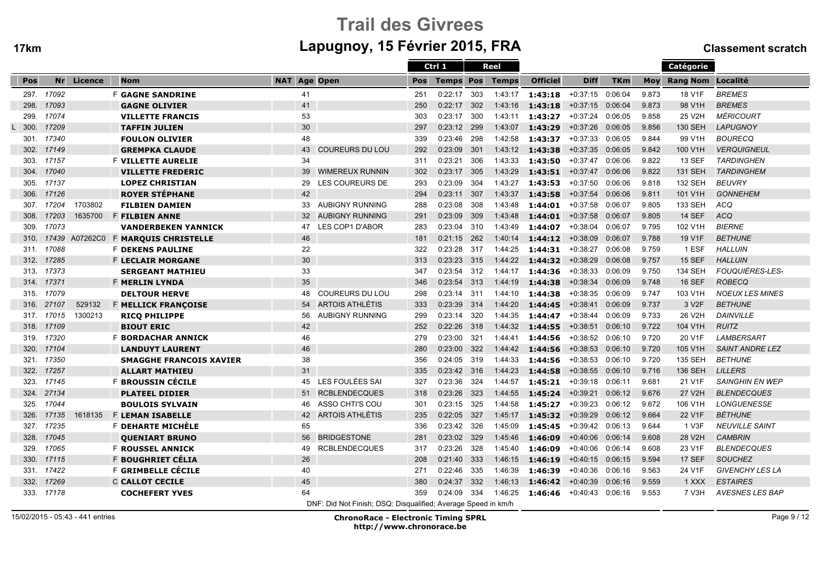# Trail des Givreesm Lapugnoy, 15 Février 2015, FRA Classement scratch

|      |       |         |                                |                     |                                                               |            | Ctrl 1           |     | <b>Reel</b>  |                 |                    |            |       | Catégorie             |                        |
|------|-------|---------|--------------------------------|---------------------|---------------------------------------------------------------|------------|------------------|-----|--------------|-----------------|--------------------|------------|-------|-----------------------|------------------------|
| Pos  | Nr    | Licence | <b>Nom</b>                     | <b>NAT Age Open</b> |                                                               | <b>Pos</b> | <b>Temps Pos</b> |     | <b>Temps</b> | <b>Officiel</b> | <b>Diff</b>        | <b>TKm</b> |       | Moy Rang Nom Localité |                        |
| 297. | 17092 |         | <b>F GAGNE SANDRINE</b>        | 41                  |                                                               | 251        | 0:22:17          | 303 | 1:43:17      | 1:43:18         | +0:37:15           | 0:06:04    | 9.873 | 18 V1F                | <b>BREMES</b>          |
| 298. | 17093 |         | <b>GAGNE OLIVIER</b>           | 41                  |                                                               | 250        | 0:22:17          | 302 | 1:43:16      | 1:43:18         | $+0:37:15$         | 0:06:04    | 9.873 | 98 V1H                | <b>BREMES</b>          |
| 299. | 17074 |         | <b>VILLETTE FRANCIS</b>        | 53                  |                                                               | 303        | 0:23:17          | 300 | 1:43:11      | 1:43:27         | $+0:37:24$         | 0:06:05    | 9.858 | 25 V2H                | <b>MÉRICOURT</b>       |
| 300. | 17209 |         | <b>TAFFIN JULIEN</b>           | 30                  |                                                               | 297        | 0:23:12          | 299 | 1:43:07      | 1:43:29         | $+0:37:26$         | 0:06:05    | 9.856 | <b>130 SEH</b>        | <b>LAPUGNOY</b>        |
| 301. | 17340 |         | <b>FOULON OLIVIER</b>          | 48                  |                                                               | 339        | 0:23:46          | 298 | 1:42:58      | 1:43:37         | $+0:37:33$         | 0:06:05    | 9.844 | 99 V1H                | <b>BOURECQ</b>         |
| 302. | 17149 |         | <b>GREMPKA CLAUDE</b>          | 43                  | <b>COUREURS DU LOU</b>                                        | 292        | 0:23:09          | 301 | 1:43:12      | 1:43:38         | $+0:37:35$         | 0:06:05    | 9.842 | 100 V1H               | <b>VERQUIGNEUL</b>     |
| 303. | 17157 |         | <b>F VILLETTE AURELIE</b>      | 34                  |                                                               | 311        | 0:23:21          | 306 | 1:43:33      | 1:43:50         | $+0:37:47$         | 0:06:06    | 9.822 | <b>13 SEF</b>         | <b>TARDINGHEN</b>      |
| 304. | 17040 |         | <b>VILLETTE FREDERIC</b>       | 39                  | <b>WIMEREUX RUNNIN</b>                                        | 302        | 0:23:17          | 305 | 1:43:29      | 1:43:51         | $+0:37:47$         | 0:06:06    | 9.822 | <b>131 SEH</b>        | <b>TARDINGHEM</b>      |
| 305. | 17137 |         | <b>LOPEZ CHRISTIAN</b>         | 29                  | <b>LES COUREURS DE</b>                                        | 293        | 0:23:09          | 304 | 1:43:27      | 1:43:53         | $+0:37:50$         | 0:06:06    | 9.818 | 132 SEH               | <b>BEUVRY</b>          |
| 306. | 17126 |         | <b>ROYER STÉPHANE</b>          | 42                  |                                                               | 294        | 0:23:11          | 307 | 1:43:37      | 1:43:58         | $+0:37:54$         | 0:06:06    | 9.811 | 101 V1H               | <b>GONNEHEM</b>        |
| 307. | 17204 | 1703802 | <b>FILBIEN DAMIEN</b>          | 33                  | <b>AUBIGNY RUNNING</b>                                        | 288        | 0:23:08          | 308 | 1:43:48      | 1:44:01         | $+0:37:58$         | 0:06:07    | 9.805 | 133 SEH               | <b>ACQ</b>             |
| 308. | 17203 | 1635700 | <b>F FILBIEN ANNE</b>          | 32                  | <b>AUBIGNY RUNNING</b>                                        | 291        | 0:23:09          | 309 | 1:43:48      | 1:44:01         | $+0:37:58$         | 0:06:07    | 9.805 | <b>14 SEF</b>         | <b>ACQ</b>             |
| 309. | 17073 |         | <b>VANDERBEKEN YANNICK</b>     | 47                  | <b>LES COP1 D'ABOR</b>                                        | 283        | 0:23:04          | 310 | 1:43:49      | 1:44:07         | $+0:38:04$         | 0:06:07    | 9.795 | 102 V1H               | <b>BIERNE</b>          |
| 310. | 17439 |         | A07262C0 F MARQUIS CHRISTELLE  | 46                  |                                                               | 181        | 0:21:15          | 262 | 1:40:14      | 1:44:12         | $+0:38:09$         | 0:06:07    | 9.788 | 19 V1F                | <b>BETHUNE</b>         |
| 311. | 17088 |         | <b>F DEKENS PAULINE</b>        | 22                  |                                                               | 322        | 0:23:28          | 317 | 1:44:25      | 1:44:31         | $+0:38:27$         | 0:06:08    | 9.759 | 1 ESF                 | <b>HALLUIN</b>         |
| 312. | 17285 |         | <b>F LECLAIR MORGANE</b>       | 30                  |                                                               | 313        | 0:23:23          | 315 | 1:44:22      | 1:44:32         | $+0:38:29$         | 0:06:08    | 9.757 | <b>15 SEF</b>         | <b>HALLUIN</b>         |
| 313. | 17373 |         | <b>SERGEANT MATHIEU</b>        | 33                  |                                                               | 347        | 0:23:54          | 312 | 1:44:17      | 1:44:36         | $+0:38:33$         | 0:06:09    | 9.750 | 134 SEH               | FOUQUIÈRES-LES-        |
| 314. | 17371 |         | <b>F MERLIN LYNDA</b>          | 35                  |                                                               | 346        | 0:23:54          | 313 | 1:44:19      | 1:44:38         | $+0:38:34$         | 0:06:09    | 9.748 | <b>16 SEF</b>         | <b>ROBECQ</b>          |
| 315. | 17079 |         | <b>DELTOUR HERVE</b>           | 48                  | <b>COUREURS DU LOU</b>                                        | 298        | 0:23:14          | 311 | 1:44:10      | 1:44:38         | $+0:38:35$         | 0:06:09    | 9.747 | 103 V1H               | <b>NOEUX LES MINES</b> |
| 316. | 27107 | 529132  | F MELLICK FRANÇOISE            | 54                  | <b>ARTOIS ATHLÉTIS</b>                                        | 333        | 0:23:39          | 314 | 1:44:20      | 1:44:45         | $+0:38:41$         | 0:06:09    | 9.737 | 3 V <sub>2</sub> F    | <b>BETHUNE</b>         |
| 317. | 17015 | 1300213 | <b>RICQ PHILIPPE</b>           | 56                  | <b>AUBIGNY RUNNING</b>                                        | 299        | 0:23:14          | 320 | 1:44:35      | 1:44:47         | $+0:38:44$         | 0:06:09    | 9.733 | 26 V2H                | <b>DAINVILLE</b>       |
| 318. | 17109 |         | <b>BIOUT ERIC</b>              | 42                  |                                                               | 252        | 0:22:26          | 318 | 1:44:32      | 1:44:55         | $+0:38:51$         | 0:06:10    | 9.722 | 104 V1H               | <b>RUITZ</b>           |
| 319. | 17320 |         | <b>F BORDACHAR ANNICK</b>      | 46                  |                                                               | 279        | 0:23:00          | 321 | 1:44:41      | 1:44:56         | $+0.38:52$         | 0:06:10    | 9.720 | 20 V1F                | <b>LAMBERSART</b>      |
| 320. | 17104 |         | <b>LANDUYT LAURENT</b>         | 46                  |                                                               | 280        | 0:23:00          | 322 | 1:44:42      | 1:44:56         | $+0:38:53$         | 0:06:10    | 9.720 | 105 V1H               | <b>SAINT ANDRE LEZ</b> |
| 321. | 17350 |         | <b>SMAGGHE FRANCOIS XAVIER</b> | 38                  |                                                               | 356        | 0:24:05          | 319 | 1:44:33      | 1:44:56         | $+0:38:53$         | 0:06:10    | 9.720 | 135 SEH               | <b>BETHUNE</b>         |
| 322. | 17257 |         | <b>ALLART MATHIEU</b>          | 31                  |                                                               | 335        | 0:23:42          | 316 | 1:44:23      | 1:44:58         | $+0:38:55$         | 0:06:10    | 9.716 | 136 SEH               | <b>LILLERS</b>         |
| 323. | 17145 |         | F BROUSSIN CÉCILE              | 45                  | LES FOULÉES SAI                                               | 327        | 0:23:36          | 324 | 1:44:57      | 1:45:21         | $+0:39:18$         | 0:06:11    | 9.681 | 21 V1F                | <b>SAINGHIN EN WEP</b> |
| 324. | 27134 |         | <b>PLATEEL DIDIER</b>          | 51                  | <b>RCBLENDECQUES</b>                                          | 318        | 0:23:26          | 323 | 1:44:55      | 1:45:24         | $+0:39:21$         | 0:06:12    | 9.676 | 27 V2H                | <b>BLENDECQUES</b>     |
| 325. | 17044 |         | <b>BOULOIS SYLVAIN</b>         | 46                  | ASSO CHTI'S COU                                               | 301        | 0:23:15          | 325 | 1:44:58      | 1:45:27         | $+0:39:23$         | 0:06:12    | 9.672 | 106 V1H               | LONGUENESSE            |
| 326. | 17135 | 1618135 | <b>F LEMAN ISABELLE</b>        | 42                  | <b>ARTOIS ATHLÉTIS</b>                                        | 235        | 0:22:05          | 327 | 1:45:17      | 1:45:32         | $+0:39:29$         | 0:06:12    | 9.664 | 22 V1F                | <b>BÉTHUNE</b>         |
| 327. | 17235 |         | F DEHARTE MICHÈLE              | 65                  |                                                               | 336        | 0:23:42          | 326 | 1:45:09      | 1:45:45         | $+0:39:42$ 0:06:13 |            | 9.644 | 1 V3F                 | <b>NEUVILLE SAINT</b>  |
| 328. | 17045 |         | <b>OUENIART BRUNO</b>          | 56                  | <b>BRIDGESTONE</b>                                            | 281        | 0:23:02          | 329 | 1:45:46      | 1:46:09         | $+0:40:06$         | 0:06:14    | 9.608 | 28 V2H                | <b>CAMBRIN</b>         |
| 329. | 17065 |         | <b>F ROUSSEL ANNICK</b>        | 49                  | <b>RCBLENDECQUES</b>                                          | 317        | 0:23:26          | 328 | 1:45:40      | 1:46:09         | +0:40:06           | 0:06:14    | 9.608 | 23 V1F                | <b>BLENDECQUES</b>     |
| 330. | 17115 |         | F BOUGHRIET CÉLIA              | 26                  |                                                               | 208        | 0:21:40          | 333 | 1:46:15      | 1:46:19         | $+0:40:15$         | 0:06:15    | 9.594 | 17 SEF                | <b>SOUCHEZ</b>         |
| 331. | 17422 |         | F GRIMBELLE CÉCILE             | 40                  |                                                               | 271        | 0:22:46          | 335 | 1:46:39      | 1:46:39         | $+0:40:36$         | 0:06:16    | 9.563 | 24 V1F                | <b>GIVENCHY LES LA</b> |
| 332. | 17269 |         | <b>C CALLOT CECILE</b>         | 45                  |                                                               | 380        | 0:24:37          | 332 | 1:46:13      | 1:46:42         | $+0:40:39$         | 0:06:16    | 9.559 | 1 XXX                 | <b>ESTAIRES</b>        |
| 333. | 17178 |         | <b>COCHEFERT YVES</b>          | 64                  |                                                               | 359        | 0:24:09          | 334 | 1:46:25      | 1:46:46         | $+0:40:43$         | 0:06:16    | 9.553 | 7 V3H                 | <b>AVESNES LES BAP</b> |
|      |       |         |                                |                     | DNF: Did Not Finish; DSQ: Disqualified; Average Speed in km/h |            |                  |     |              |                 |                    |            |       |                       |                        |

15/02/2015 - 05:43 - 441 entries

ChronoRace - Electronic Timing SPRL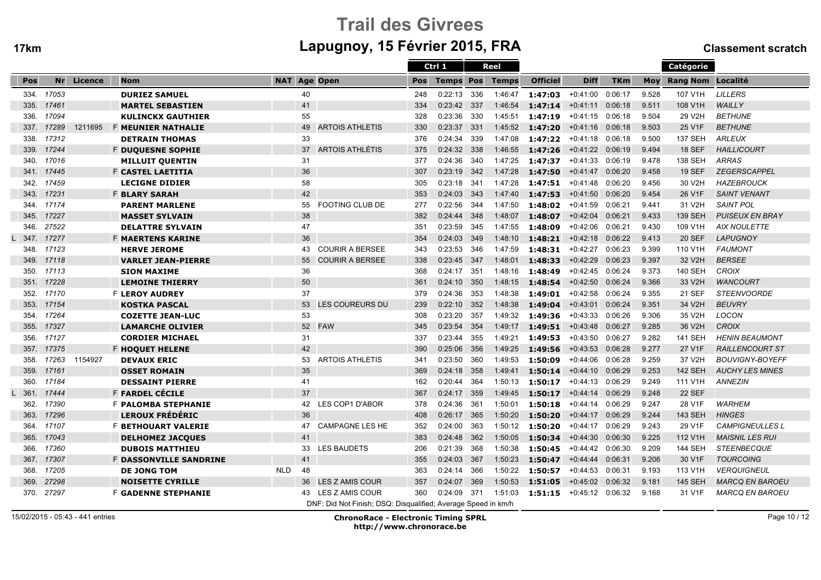# Trail des Givreesm Lapugnoy, 15 Février 2015, FRA Classement scratch

|      |       |         |                               |            |    |                                                               |     | Ctrl 1           |     | Reel         |                     |             |            |            | Catégorie                |                        |
|------|-------|---------|-------------------------------|------------|----|---------------------------------------------------------------|-----|------------------|-----|--------------|---------------------|-------------|------------|------------|--------------------------|------------------------|
| Pos  | Nr    | Licence | <b>Nom</b>                    | <b>NAT</b> |    | <b>Age Open</b>                                               | Pos | <b>Temps Pos</b> |     | <b>Temps</b> | <b>Officiel</b>     | <b>Diff</b> | <b>TKm</b> | <b>Moy</b> | <b>Rang Nom Localité</b> |                        |
| 334. | 17053 |         | <b>DURIEZ SAMUEL</b>          |            | 40 |                                                               | 248 | 0:22:13          | 336 | 1:46:47      | $1:47:03 + 0:41:00$ |             | 0:06:17    | 9.528      | 107 V1H                  | <b>LILLERS</b>         |
| 335. | 17461 |         | <b>MARTEL SEBASTIEN</b>       |            | 41 |                                                               | 334 | 0:23:42          | 337 | 1:46:54      | 1:47:14             | $+0:41:11$  | 0:06:18    | 9.511      | 108 V1H                  | <b>WAILLY</b>          |
| 336. | 17094 |         | <b>KULINCKX GAUTHIER</b>      |            | 55 |                                                               | 328 | 0:23:36          | 330 | 1:45:51      | 1:47:19             | $+0:41:15$  | 0:06:18    | 9.504      | 29 V2H                   | <b>BETHUNE</b>         |
| 337. | 17289 | 1211695 | <b>F MEUNIER NATHALIE</b>     |            | 49 | <b>ARTOIS ATHLETIS</b>                                        | 330 | 0:23:37          | 331 | 1:45:52      | 1:47:20             | $+0:41:16$  | 0:06:18    | 9.503      | 25 V1F                   | <b>BETHUNE</b>         |
| 338. | 17312 |         | <b>DETRAIN THOMAS</b>         |            | 33 |                                                               | 376 | 0:24:34          | 339 | 1:47:08      | 1:47:22             | +0:41:18    | 0:06:18    | 9.500      | <b>137 SEH</b>           | <b>ARLEUX</b>          |
| 339. | 17244 |         | <b>F DUQUESNE SOPHIE</b>      |            | 37 | <b>ARTOIS ATHLÉTIS</b>                                        | 375 | 0:24:32          | 338 | 1:46:55      | 1:47:26             | $+0:41:22$  | 0:06:19    | 9.494      | <b>18 SEF</b>            | <b>HAILLICOURT</b>     |
| 340. | 17016 |         | <b>MILLUIT QUENTIN</b>        |            | 31 |                                                               | 377 | 0:24:36          | 340 | 1:47:25      | 1:47:37             | $+0:41:33$  | 0:06:19    | 9.478      | <b>138 SEH</b>           | <b>ARRAS</b>           |
| 341. | 17445 |         | F CASTEL LAETITIA             |            | 36 |                                                               | 307 | 0:23:19          | 342 | 1:47:28      | 1:47:50             | $+0:41:47$  | 0:06:20    | 9.458      | <b>19 SEF</b>            | <b>ZEGERSCAPPEL</b>    |
| 342. | 17459 |         | <b>LECIGNE DIDIER</b>         |            | 58 |                                                               | 305 | 0:23:18          | 341 | 1:47:28      | 1:47:51             | $+0:41:48$  | 0:06:20    | 9.456      | 30 V2H                   | <b>HAZEBROUCK</b>      |
| 343. | 17231 |         | <b>F BLARY SARAH</b>          |            | 42 |                                                               | 353 | 0:24:03          | 343 | 1:47:40      | 1:47:53             | $+0:41:50$  | 0:06:20    | 9.454      | 26 V1F                   | <b>SAINT VENANT</b>    |
| 344. | 17174 |         | <b>PARENT MARLENE</b>         |            | 55 | <b>FOOTING CLUB DE</b>                                        | 277 | 0:22:56          | 344 | 1:47:50      | 1:48:02             | $+0:41:59$  | 0:06:21    | 9.441      | 31 V2H                   | <b>SAINT POL</b>       |
| 345. | 17227 |         | <b>MASSET SYLVAIN</b>         |            | 38 |                                                               | 382 | 0:24:44          | 348 | 1:48:07      | 1:48:07             | $+0:42:04$  | 0:06:21    | 9.433      | <b>139 SEH</b>           | <b>PUISEUX EN BRAY</b> |
| 346. | 27522 |         | <b>DELATTRE SYLVAIN</b>       |            | 47 |                                                               | 351 | 0:23:59          | 345 | 1:47:55      | 1:48:09             | $+0:42:06$  | 0:06:21    | 9.430      | 109 V1H                  | <b>AIX NOULETTE</b>    |
| 347. | 17277 |         | <b>F MAERTENS KARINE</b>      |            | 36 |                                                               | 354 | 0:24:03          | 349 | 1:48:10      | 1:48:21             | $+0:42:18$  | 0:06:22    | 9.413      | <b>20 SEF</b>            | <b>LAPUGNOY</b>        |
| 348. | 17123 |         | <b>HERVE JEROME</b>           |            | 43 | <b>COURIR A BERSEE</b>                                        | 343 | 0:23:53          | 346 | 1:47:59      | 1:48:31             | $+0:42:27$  | 0:06:23    | 9.399      | 110 V1H                  | <b>FAUMONT</b>         |
| 349. | 17118 |         | <b>VARLET JEAN-PIERRE</b>     |            | 55 | <b>COURIR A BERSEE</b>                                        | 338 | 0:23:45          | 347 | 1:48:01      | 1:48:33             | $+0:42:29$  | 0:06:23    | 9.397      | 32 V2H                   | <b>BERSEE</b>          |
| 350. | 17113 |         | <b>SION MAXIME</b>            |            | 36 |                                                               | 368 | 0:24:17          | 351 | 1:48:16      | 1:48:49             | $+0:42:45$  | 0:06:24    | 9.373      | <b>140 SEH</b>           | <b>CROIX</b>           |
| 351. | 17228 |         | <b>LEMOINE THIERRY</b>        |            | 50 |                                                               | 361 | 0:24:10          | 350 | 1:48:15      | 1:48:54             | $+0:42:50$  | 0:06:24    | 9.366      | 33 V2H                   | <b>WANCOURT</b>        |
| 352. | 17170 |         | <b>F LEROY AUDREY</b>         |            | 37 |                                                               | 379 | 0:24:36          | 353 | 1:48:38      | 1:49:01             | $+0:42:58$  | 0:06:24    | 9.355      | <b>21 SEF</b>            | <b>STEENVOORDE</b>     |
| 353. | 17154 |         | <b>KOSTKA PASCAL</b>          |            | 53 | <b>LES COUREURS DU</b>                                        | 239 | 0:22:10          | 352 | 1:48:38      | 1:49:04             | $+0:43:01$  | 0:06:24    | 9.351      | 34 V2H                   | <b>BEUVRY</b>          |
| 354. | 17264 |         | <b>COZETTE JEAN-LUC</b>       |            | 53 |                                                               | 308 | 0:23:20          | 357 | 1:49:32      | 1:49:36             | $+0:43:33$  | 0:06:26    | 9.306      | 35 V2H                   | <b>LOCON</b>           |
| 355. | 17327 |         | <b>LAMARCHE OLIVIER</b>       |            | 52 | <b>FAW</b>                                                    | 345 | 0:23:54          | 354 | 1:49:17      | 1:49:51             | $+0:43:48$  | 0:06:27    | 9.285      | 36 V2H                   | <b>CROIX</b>           |
| 356. | 17127 |         | <b>CORDIER MICHAEL</b>        |            | 31 |                                                               | 337 | 0:23:44          | 355 | 1:49:21      | 1:49:53             | $+0:43:50$  | 0:06:27    | 9.282      | 141 SEH                  | <b>HENIN BEAUMONT</b>  |
| 357. | 17375 |         | <b>F HOQUET HELENE</b>        |            | 42 |                                                               | 390 | 0:25:06          | 356 | 1:49:25      | 1:49:56             | $+0:43:53$  | 0:06:28    | 9.277      | 27 V1F                   | <b>RAILLENCOURT ST</b> |
| 358. | 17263 | 1154927 | <b>DEVAUX ERIC</b>            |            | 53 | <b>ARTOIS ATHLETIS</b>                                        | 341 | 0:23:50          | 360 | 1:49:53      | 1:50:09             | $+0:44:06$  | 0:06:28    | 9.259      | 37 V2H                   | <b>BOUVIGNY-BOYEFF</b> |
| 359. | 17161 |         | <b>OSSET ROMAIN</b>           |            | 35 |                                                               | 369 | 0:24:18          | 358 | 1:49:41      | 1:50:14             | $+0:44:10$  | 0:06:29    | 9.253      | <b>142 SEH</b>           | <b>AUCHY LES MINES</b> |
| 360. | 17184 |         | <b>DESSAINT PIERRE</b>        |            | 41 |                                                               | 162 | 0:20:44          | 364 | 1:50:13      | 1:50:17             | $+0:44:13$  | 0:06:29    | 9.249      | 111 V1H                  | <b>ANNEZIN</b>         |
| 361. | 17444 |         | F FARDEL CÉCILE               |            | 37 |                                                               | 367 | 0:24:17          | 359 | 1:49:45      | 1:50:17             | $+0:44:14$  | 0:06:29    | 9.248      | <b>22 SEF</b>            |                        |
| 362. | 17390 |         | F PALOMBA STEPHANIE           |            | 42 | LES COP1 D'ABOR                                               | 378 | 0:24:36          | 361 | 1:50:01      | 1:50:18             | +0:44:14    | 0:06:29    | 9.247      | 28 V1F                   | <b>WARHEM</b>          |
| 363. | 17296 |         | <b>LEROUX FRÉDÉRIC</b>        |            | 36 |                                                               | 408 | 0:26:17          | 365 | 1:50:20      | 1:50:20             | $+0:44:17$  | 0:06:29    | 9.244      | <b>143 SEH</b>           | <b>HINGES</b>          |
| 364. | 17107 |         | <b>F BETHOUART VALERIE</b>    |            | 47 | <b>CAMPAGNE LES HE</b>                                        | 352 | 0:24:00          | 363 | 1:50:12      | 1:50:20             | $+0:44:17$  | 0:06:29    | 9.243      | 29 V1F                   | <b>CAMPIGNEULLES L</b> |
| 365. | 17043 |         | <b>DELHOMEZ JACQUES</b>       |            | 41 |                                                               | 383 | 0:24:48          | 362 | 1:50:05      | 1:50:34             | $+0:44:30$  | 0:06:30    | 9.225      | 112 V1H                  | <b>MAISNIL LES RUI</b> |
| 366. | 17360 |         | <b>DUBOIS MATTHIEU</b>        |            | 33 | <b>LES BAUDETS</b>                                            | 206 | 0:21:39          | 368 | 1:50:38      | 1:50:45             | $+0:44:42$  | 0:06:30    | 9.209      | <b>144 SEH</b>           | <b>STEENBECQUE</b>     |
| 367. | 17307 |         | <b>F DASSONVILLE SANDRINE</b> |            | 41 |                                                               | 355 | 0:24:03          | 367 | 1:50:23      | 1:50:47             | $+0:44:44$  | 0:06:31    | 9.206      | 30 V1F                   | <b>TOURCOING</b>       |
| 368. | 17205 |         | <b>DE JONG TOM</b>            | <b>NLD</b> | 48 |                                                               | 363 | 0:24:14          | 366 | 1:50:22      | 1:50:57             | $+0:44:53$  | 0:06:31    | 9.193      | 113 V1H                  | <b>VERQUIGNEUL</b>     |
| 369. | 27298 |         | <b>NOISETTE CYRILLE</b>       |            | 36 | LES Z AMIS COUR                                               | 357 | 0:24:07          | 369 | 1:50:53      | 1:51:05             | $+0:45:02$  | 0:06:32    | 9.181      | <b>145 SEH</b>           | <b>MARCQ EN BAROEU</b> |
| 370. | 27297 |         | <b>F GADENNE STEPHANIE</b>    |            | 43 | LES Z AMIS COUR                                               | 360 | 0:24:09          | 371 | 1:51:03      | 1:51:15             | +0:45:12    | 0:06:32    | 9.168      | 31 V1F                   | <b>MARCQ EN BAROEU</b> |
|      |       |         |                               |            |    | DNF: Did Not Finish; DSQ: Disqualified; Average Speed in km/h |     |                  |     |              |                     |             |            |            |                          |                        |

15/02/2015 - 05:43 - 441 entries

ChronoRace - Electronic Timing SPRL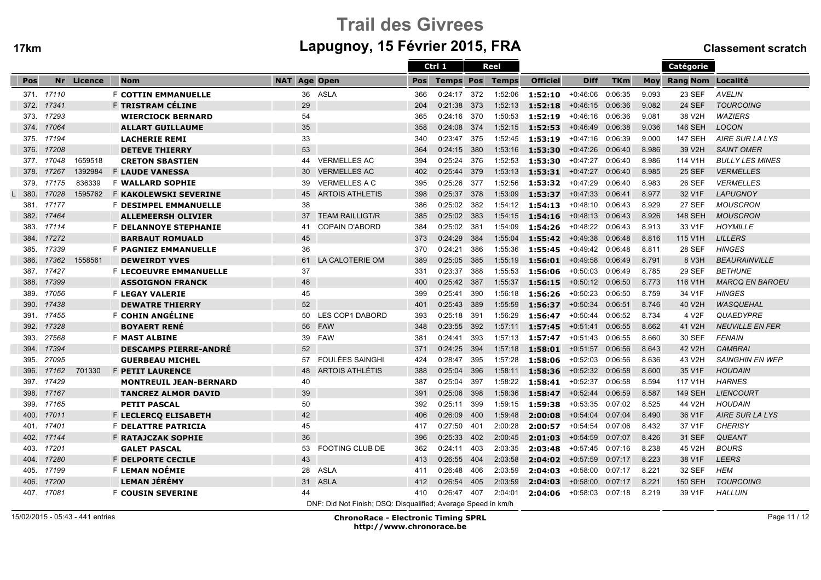# Trail des Givreesm Lapugnoy, 15 Février 2015, FRA Classement scratch

|      |            |         |                               |                     |                                                               |            | Ctrl 1           |      | <b>Reel</b>  |                 |                    |            |       | Catégorie             |                        |
|------|------------|---------|-------------------------------|---------------------|---------------------------------------------------------------|------------|------------------|------|--------------|-----------------|--------------------|------------|-------|-----------------------|------------------------|
| Pos  | Nr         | Licence | <b>Nom</b>                    | <b>NAT Age Open</b> |                                                               | <b>Pos</b> | <b>Temps Pos</b> |      | <b>Temps</b> | <b>Officiel</b> | <b>Diff</b>        | <b>TKm</b> |       | Moy Rang Nom Localité |                        |
|      | 371. 17110 |         | <b>F COTTIN EMMANUELLE</b>    |                     | 36 ASLA                                                       | 366        | 0:24:17          | 372  | 1:52:06      | 1:52:10         | +0:46:06           | 0:06:35    | 9.093 | 23 SEF                | <b>AVELIN</b>          |
| 372. | 17341      |         | F TRISTRAM CÉLINE             | 29                  |                                                               | 204        | 0:21:38          | 373  | 1:52:13      | 1:52:18         | $+0:46:15$         | 0:06:36    | 9.082 | <b>24 SEF</b>         | <b>TOURCOING</b>       |
| 373. | 17293      |         | <b>WIERCIOCK BERNARD</b>      | 54                  |                                                               | 365        | 0:24:16          | 370  | 1:50:53      | 1:52:19         | $+0:46:16$         | 0:06:36    | 9.081 | 38 V2H                | <b>WAZIERS</b>         |
| 374. | 17064      |         | <b>ALLART GUILLAUME</b>       | 35                  |                                                               | 358        | 0:24:08          | 374  | 1:52:15      | 1:52:53         | $+0:46:49$         | 0:06:38    | 9.036 | <b>146 SEH</b>        | <b>LOCON</b>           |
| 375. | 17194      |         | <b>LACHERIE REMI</b>          | 33                  |                                                               | 340        | 0:23:47          | -375 | 1:52:45      | 1:53:19         | +0:47:16           | 0:06:39    | 9.000 | 147 SEH               | AIRE SUR LA LYS        |
| 376. | 17208      |         | <b>DETEVE THIERRY</b>         | 53                  |                                                               | 364        | 0:24:15          | 380  | 1:53:16      | 1:53:30         | $+0:47:26$         | 0:06:40    | 8.986 | 39 V2H                | <b>SAINT OMER</b>      |
| 377. | 17048      | 1659518 | <b>CRETON SBASTIEN</b>        | 44                  | <b>VERMELLES AC</b>                                           | 394        | 0:25:24          | 376  | 1:52:53      | 1:53:30         | $+0:47:27$         | 0:06:40    | 8.986 | 114 V1H               | <b>BULLY LES MINES</b> |
| 378. | 17267      | 1392984 | <b>F LAUDE VANESSA</b>        | 30                  | <b>VERMELLES AC</b>                                           | 402        | 0:25:44          | 379  | 1:53:13      | 1:53:31         | $+0:47:27$         | 0:06:40    | 8.985 | <b>25 SEF</b>         | <b>VERMELLES</b>       |
| 379. | 17175      | 836339  | <b>F WALLARD SOPHIE</b>       | 39                  | VERMELLES A C                                                 | 395        | 0:25:26          | 377  | 1:52:56      | 1:53:32         | +0:47:29           | 0:06:40    | 8.983 | 26 SEF                | <b>VERMELLES</b>       |
| 380. | 17028      | 1595762 | <b>F KAKOLEWSKI SEVERINE</b>  | 45                  | <b>ARTOIS ATHLETIS</b>                                        | 398        | 0:25:37          | 378  | 1:53:09      | 1:53:37         | $+0:47:33$         | 0:06:41    | 8.977 | 32 V1F                | <b>LAPUGNOY</b>        |
| 381. | 17177      |         | <b>F DESIMPEL EMMANUELLE</b>  | 38                  |                                                               | 386        | 0:25:02          | 382  | 1:54:12      | 1:54:13         | $+0:48:10$         | 0:06:43    | 8.929 | <b>27 SEF</b>         | <b>MOUSCRON</b>        |
| 382. | 17464      |         | <b>ALLEMEERSH OLIVIER</b>     | 37                  | <b>TEAM RAILLIGT/R</b>                                        | 385        | 0:25:02          | 383  | 1:54:15      | 1:54:16         | $+0:48:13$         | 0:06:43    | 8.926 | <b>148 SEH</b>        | <b>MOUSCRON</b>        |
| 383. | 17114      |         | <b>F DELANNOYE STEPHANIE</b>  | 41                  | <b>COPAIN D'ABORD</b>                                         | 384        | 0:25:02          | 381  | 1:54:09      | 1:54:26         | $+0.48:22$ 0:06:43 |            | 8.913 | 33 V1F                | <b>HOYMILLE</b>        |
| 384. | 17272      |         | <b>BARBAUT ROMUALD</b>        | 45                  |                                                               | 373        | 0:24:29          | 384  | 1:55:04      | 1:55:42         | $+0:49:38$         | 0:06:48    | 8.816 | 115 V1H               | <b>LILLERS</b>         |
| 385. | 17339      |         | <b>F PAGNIEZ EMMANUELLE</b>   | 36                  |                                                               | 370        | 0:24:21          | 386  | 1:55:36      | 1:55:45         | +0:49:42           | 0:06:48    | 8.811 | 28 SEF                | <b>HINGES</b>          |
| 386. | 17362      | 1558561 | <b>DEWEIRDT YVES</b>          | 61                  | LA CALOTERIE OM                                               | 389        | 0:25:05          | 385  | 1:55:19      | 1:56:01         | $+0:49:58$         | 0:06:49    | 8.791 | 8 V3H                 | <b>BEAURAINVILLE</b>   |
| 387. | 17427      |         | <b>F LECOEUVRE EMMANUELLE</b> | 37                  |                                                               | 331        | 0:23:37          | 388  | 1:55:53      | 1:56:06         | $+0.50:03$         | 0:06:49    | 8.785 | 29 SEF                | <b>BETHUNE</b>         |
| 388. | 17399      |         | <b>ASSOIGNON FRANCK</b>       | 48                  |                                                               | 400        | 0:25:42          | 387  | 1:55:37      | 1:56:15         | $+0:50:12$         | 0:06:50    | 8.773 | 116 V1H               | <b>MARCQ EN BAROEU</b> |
| 389. | 17056      |         | <b>F LEGAY VALERIE</b>        | 45                  |                                                               | 399        | 0:25:41          | 390  | 1:56:18      | 1:56:26         | $+0:50:23$         | 0:06:50    | 8.759 | 34 V1F                | <b>HINGES</b>          |
| 390. | 17438      |         | <b>DEWATRE THIERRY</b>        | 52                  |                                                               | 401        | 0:25:43          | 389  | 1:55:59      | 1:56:37         | $+0:50:34$         | 0:06:51    | 8.746 | 40 V2H                | <b>WASQUEHAL</b>       |
| 391. | 17455      |         | <b>F COHIN ANGÉLINE</b>       | 50                  | <b>LES COP1 DABORD</b>                                        | 393        | 0:25:18          | 391  | 1:56:29      | 1:56:47         | $+0:50:44$         | 0:06:52    | 8.734 | 4 V <sub>2</sub> F    | <b>QUAEDYPRE</b>       |
| 392. | 17328      |         | <b>BOYAERT RENÉ</b>           | 56                  | <b>FAW</b>                                                    | 348        | 0:23:55          | 392  | 1:57:11      | 1:57:45         | $+0:51:41$         | 0:06:55    | 8.662 | 41 V2H                | <b>NEUVILLE EN FER</b> |
| 393. | 27568      |         | <b>F MAST ALBINE</b>          | 39                  | <b>FAW</b>                                                    | 381        | 0:24:41          | 393  | 1:57:13      | 1:57:47         | $+0:51:43$         | 0:06:55    | 8.660 | 30 SEF                | <b>FENAIN</b>          |
| 394. | 17394      |         | <b>DESCAMPS PIERRE-ANDRÉ</b>  | 52                  |                                                               | 371        | 0:24:25          | 394  | 1:57:18      | 1:58:01         | $+0:51:57$         | 0:06:56    | 8.643 | 42 V2H                | <b>CAMBRAI</b>         |
| 395. | 27095      |         | <b>GUERBEAU MICHEL</b>        | 57                  | <b>FOULÉES SAINGHI</b>                                        | 424        | 0:28:47          | 395  | 1:57:28      | 1:58:06         | $+0:52:03$         | 0:06:56    | 8.636 | 43 V2H                | <b>SAINGHIN EN WEP</b> |
| 396. | 17162      | 701330  | <b>F PETIT LAURENCE</b>       | 48                  | <b>ARTOIS ATHLÉTIS</b>                                        | 388        | 0:25:04          | 396  | 1:58:11      | 1:58:36         | $+0:52:32$         | 0:06:58    | 8.600 | 35 V1F                | <b>HOUDAIN</b>         |
| 397. | 17429      |         | <b>MONTREUIL JEAN-BERNARD</b> | 40                  |                                                               | 387        | 0:25:04          | 397  | 1:58:22      | 1:58:41         | $+0:52:37$         | 0:06:58    | 8.594 | 117 V1H               | <b>HARNES</b>          |
| 398. | 17167      |         | <b>TANCREZ ALMOR DAVID</b>    | 39                  |                                                               | 391        | 0:25:06          | 398  | 1:58:36      | 1:58:47         | $+0:52:44$         | 0:06:59    | 8.587 | <b>149 SEH</b>        | <b>LIENCOURT</b>       |
| 399. | 17165      |         | <b>PETIT PASCAL</b>           | 50                  |                                                               | 392        | 0:25:11          | 399  | 1:59:15      | 1:59:38         | $+0:53:35$         | 0:07:02    | 8.525 | 44 V2H                | <b>HOUDAIN</b>         |
| 400. | 17011      |         | F LECLERCQ ELISABETH          | 42                  |                                                               | 406        | 0:26:09          | 400  | 1:59:48      | 2:00:08         | $+0:54:04$         | 0:07:04    | 8.490 | 36 V1F                | <b>AIRE SUR LA LYS</b> |
| 401. | 17401      |         | <b>F DELATTRE PATRICIA</b>    | 45                  |                                                               | 417        | 0:27:50          | 401  | 2:00:28      | 2:00:57         | +0:54:54           | 0:07:06    | 8.432 | 37 V1F                | <b>CHERISY</b>         |
| 402. | 17144      |         | <b>F RATAJCZAK SOPHIE</b>     | 36                  |                                                               | 396        | 0:25:33          | 402  | 2:00:45      | 2:01:03         | $+0:54:59$         | 0:07:07    | 8.426 | 31 SEF                | QUEANT                 |
| 403. | 17201      |         | <b>GALET PASCAL</b>           | 53                  | <b>FOOTING CLUB DE</b>                                        | 362        | 0:24:11          | 403  | 2:03:35      | 2:03:48         | +0:57:45           | 0:07:16    | 8.238 | 45 V2H                | <b>BOURS</b>           |
| 404. | 17280      |         | <b>F DELPORTE CECILE</b>      | 43                  |                                                               | 413        | 0:26:55          | 404  | 2:03:58      | 2:04:02         | $+0:57:59$         | 0:07:17    | 8.223 | 38 V1F                | <b>LEERS</b>           |
| 405. | 17199      |         | F LEMAN NOÉMIE                | 28                  | <b>ASLA</b>                                                   | 411        | 0:26:48          | 406  | 2:03:59      | 2:04:03         | $+0:58:00$         | 0:07:17    | 8.221 | 32 SEF                | <b>HEM</b>             |
| 406. | 17200      |         | <b>LEMAN JEREMY</b>           | 31                  | <b>ASLA</b>                                                   | 412        | 0:26:54          | 405  | 2:03:59      | 2:04:03         | $+0:58:00$         | 0:07:17    | 8.221 | <b>150 SEH</b>        | <b>TOURCOING</b>       |
|      | 407. 17081 |         | <b>F COUSIN SEVERINE</b>      | 44                  |                                                               | 410        | 0:26:47 407      |      | 2:04:01      | 2:04:06         | +0:58:03           | 0:07:18    | 8.219 | 39 V1F                | <b>HALLUIN</b>         |
|      |            |         |                               |                     | DNF: Did Not Finish; DSQ: Disqualified; Average Speed in km/h |            |                  |      |              |                 |                    |            |       |                       |                        |

15/02/2015 - 05:43 - 441 entries

ChronoRace - Electronic Timing SPRL